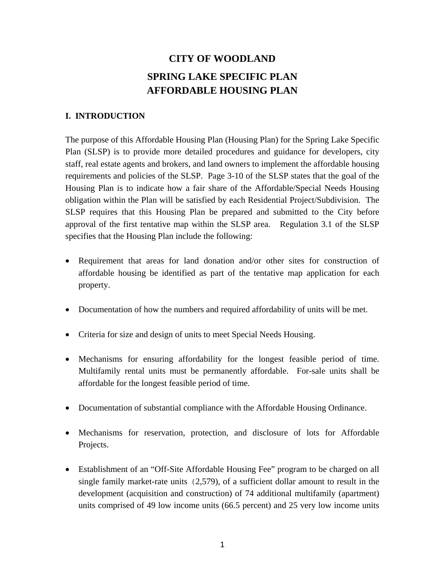# **CITY OF WOODLAND SPRING LAKE SPECIFIC PLAN AFFORDABLE HOUSING PLAN**

# **I. INTRODUCTION**

The purpose of this Affordable Housing Plan (Housing Plan) for the Spring Lake Specific Plan (SLSP) is to provide more detailed procedures and guidance for developers, city staff, real estate agents and brokers, and land owners to implement the affordable housing requirements and policies of the SLSP. Page 3-10 of the SLSP states that the goal of the Housing Plan is to indicate how a fair share of the Affordable/Special Needs Housing obligation within the Plan will be satisfied by each Residential Project/Subdivision. The SLSP requires that this Housing Plan be prepared and submitted to the City before approval of the first tentative map within the SLSP area. Regulation 3.1 of the SLSP specifies that the Housing Plan include the following:

- Requirement that areas for land donation and/or other sites for construction of affordable housing be identified as part of the tentative map application for each property.
- Documentation of how the numbers and required affordability of units will be met.
- Criteria for size and design of units to meet Special Needs Housing.
- Mechanisms for ensuring affordability for the longest feasible period of time. Multifamily rental units must be permanently affordable. For-sale units shall be affordable for the longest feasible period of time.
- Documentation of substantial compliance with the Affordable Housing Ordinance.
- Mechanisms for reservation, protection, and disclosure of lots for Affordable Projects.
- Establishment of an "Off-Site Affordable Housing Fee" program to be charged on all single family market-rate units (2,579), of a sufficient dollar amount to result in the development (acquisition and construction) of 74 additional multifamily (apartment) units comprised of 49 low income units (66.5 percent) and 25 very low income units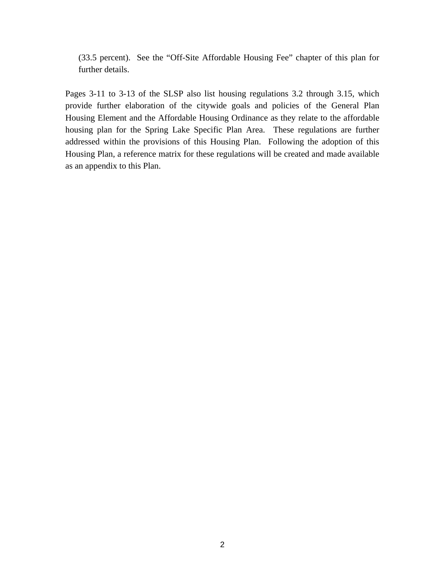(33.5 percent). See the "Off-Site Affordable Housing Fee" chapter of this plan for further details.

Pages 3-11 to 3-13 of the SLSP also list housing regulations 3.2 through 3.15, which provide further elaboration of the citywide goals and policies of the General Plan Housing Element and the Affordable Housing Ordinance as they relate to the affordable housing plan for the Spring Lake Specific Plan Area. These regulations are further addressed within the provisions of this Housing Plan. Following the adoption of this Housing Plan, a reference matrix for these regulations will be created and made available as an appendix to this Plan.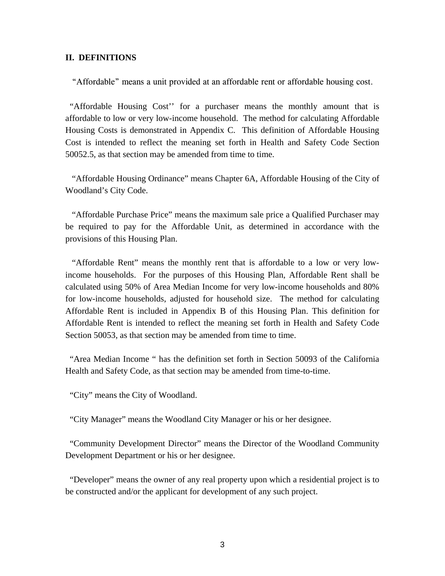#### **II. DEFINITIONS**

"Affordable" means a unit provided at an affordable rent or affordable housing cost.

 "Affordable Housing Cost'' for a purchaser means the monthly amount that is affordable to low or very low-income household. The method for calculating Affordable Housing Costs is demonstrated in Appendix C. This definition of Affordable Housing Cost is intended to reflect the meaning set forth in Health and Safety Code Section 50052.5, as that section may be amended from time to time.

 "Affordable Housing Ordinance" means Chapter 6A, Affordable Housing of the City of Woodland's City Code.

 "Affordable Purchase Price" means the maximum sale price a Qualified Purchaser may be required to pay for the Affordable Unit, as determined in accordance with the provisions of this Housing Plan.

 "Affordable Rent" means the monthly rent that is affordable to a low or very lowincome households. For the purposes of this Housing Plan, Affordable Rent shall be calculated using 50% of Area Median Income for very low-income households and 80% for low-income households, adjusted for household size. The method for calculating Affordable Rent is included in Appendix B of this Housing Plan. This definition for Affordable Rent is intended to reflect the meaning set forth in Health and Safety Code Section 50053, as that section may be amended from time to time.

 "Area Median Income " has the definition set forth in Section 50093 of the California Health and Safety Code, as that section may be amended from time-to-time.

"City" means the City of Woodland.

"City Manager" means the Woodland City Manager or his or her designee.

 "Community Development Director" means the Director of the Woodland Community Development Department or his or her designee.

 "Developer" means the owner of any real property upon which a residential project is to be constructed and/or the applicant for development of any such project.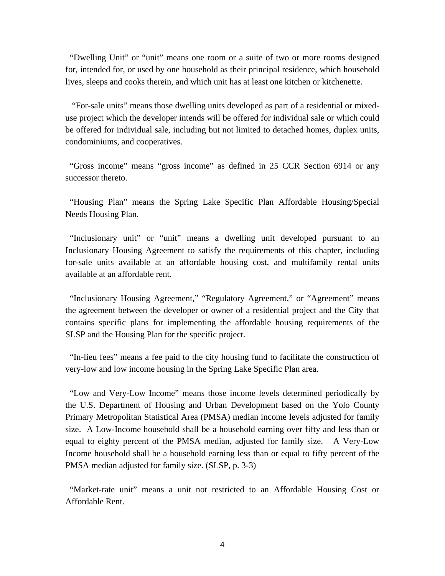"Dwelling Unit" or "unit" means one room or a suite of two or more rooms designed for, intended for, or used by one household as their principal residence, which household lives, sleeps and cooks therein, and which unit has at least one kitchen or kitchenette.

 "For-sale units" means those dwelling units developed as part of a residential or mixeduse project which the developer intends will be offered for individual sale or which could be offered for individual sale, including but not limited to detached homes, duplex units, condominiums, and cooperatives.

 "Gross income" means "gross income" as defined in 25 CCR Section 6914 or any successor thereto.

 "Housing Plan" means the Spring Lake Specific Plan Affordable Housing/Special Needs Housing Plan.

 "Inclusionary unit" or "unit" means a dwelling unit developed pursuant to an Inclusionary Housing Agreement to satisfy the requirements of this chapter, including for-sale units available at an affordable housing cost, and multifamily rental units available at an affordable rent.

 "Inclusionary Housing Agreement," "Regulatory Agreement," or "Agreement" means the agreement between the developer or owner of a residential project and the City that contains specific plans for implementing the affordable housing requirements of the SLSP and the Housing Plan for the specific project.

 "In-lieu fees" means a fee paid to the city housing fund to facilitate the construction of very-low and low income housing in the Spring Lake Specific Plan area.

 "Low and Very-Low Income" means those income levels determined periodically by the U.S. Department of Housing and Urban Development based on the Yolo County Primary Metropolitan Statistical Area (PMSA) median income levels adjusted for family size. A Low-Income household shall be a household earning over fifty and less than or equal to eighty percent of the PMSA median, adjusted for family size. A Very-Low Income household shall be a household earning less than or equal to fifty percent of the PMSA median adjusted for family size. (SLSP, p. 3-3)

 "Market-rate unit" means a unit not restricted to an Affordable Housing Cost or Affordable Rent.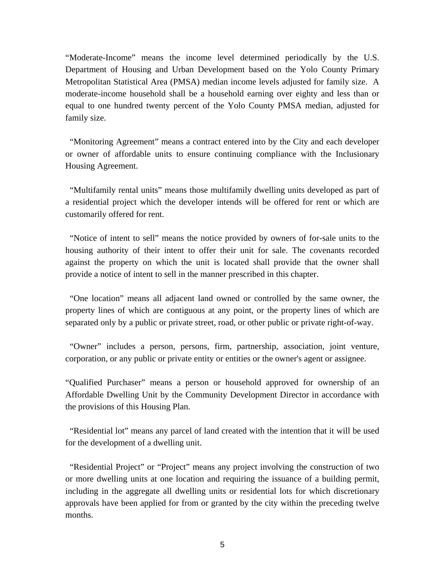"Moderate-Income" means the income level determined periodically by the U.S. Department of Housing and Urban Development based on the Yolo County Primary Metropolitan Statistical Area (PMSA) median income levels adjusted for family size. A moderate-income household shall be a household earning over eighty and less than or equal to one hundred twenty percent of the Yolo County PMSA median, adjusted for family size.

 "Monitoring Agreement" means a contract entered into by the City and each developer or owner of affordable units to ensure continuing compliance with the Inclusionary Housing Agreement.

 "Multifamily rental units" means those multifamily dwelling units developed as part of a residential project which the developer intends will be offered for rent or which are customarily offered for rent.

 "Notice of intent to sell" means the notice provided by owners of for-sale units to the housing authority of their intent to offer their unit for sale. The covenants recorded against the property on which the unit is located shall provide that the owner shall provide a notice of intent to sell in the manner prescribed in this chapter.

 "One location" means all adjacent land owned or controlled by the same owner, the property lines of which are contiguous at any point, or the property lines of which are separated only by a public or private street, road, or other public or private right-of-way.

 "Owner" includes a person, persons, firm, partnership, association, joint venture, corporation, or any public or private entity or entities or the owner's agent or assignee.

"Qualified Purchaser" means a person or household approved for ownership of an Affordable Dwelling Unit by the Community Development Director in accordance with the provisions of this Housing Plan.

 "Residential lot" means any parcel of land created with the intention that it will be used for the development of a dwelling unit.

 "Residential Project" or "Project" means any project involving the construction of two or more dwelling units at one location and requiring the issuance of a building permit, including in the aggregate all dwelling units or residential lots for which discretionary approvals have been applied for from or granted by the city within the preceding twelve months.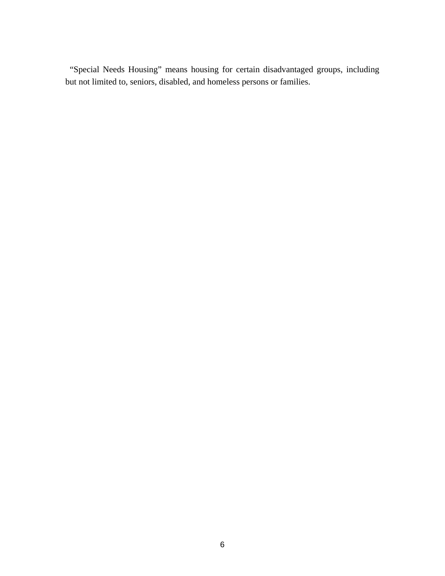"Special Needs Housing" means housing for certain disadvantaged groups, including but not limited to, seniors, disabled, and homeless persons or families.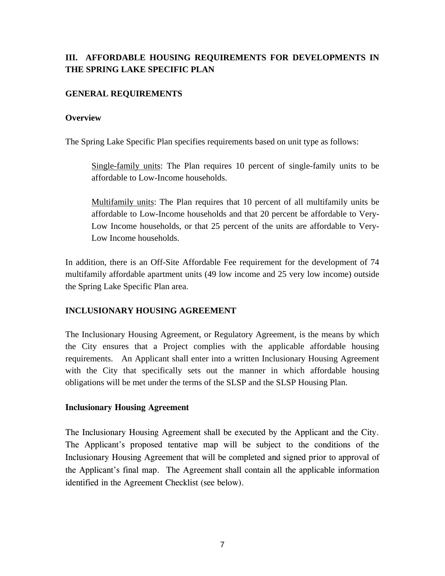# **III. AFFORDABLE HOUSING REQUIREMENTS FOR DEVELOPMENTS IN THE SPRING LAKE SPECIFIC PLAN**

# **GENERAL REQUIREMENTS**

### **Overview**

The Spring Lake Specific Plan specifies requirements based on unit type as follows:

Single-family units: The Plan requires 10 percent of single-family units to be affordable to Low-Income households.

Multifamily units: The Plan requires that 10 percent of all multifamily units be affordable to Low-Income households and that 20 percent be affordable to Very-Low Income households, or that 25 percent of the units are affordable to Very-Low Income households.

In addition, there is an Off-Site Affordable Fee requirement for the development of 74 multifamily affordable apartment units (49 low income and 25 very low income) outside the Spring Lake Specific Plan area.

# **INCLUSIONARY HOUSING AGREEMENT**

The Inclusionary Housing Agreement, or Regulatory Agreement, is the means by which the City ensures that a Project complies with the applicable affordable housing requirements. An Applicant shall enter into a written Inclusionary Housing Agreement with the City that specifically sets out the manner in which affordable housing obligations will be met under the terms of the SLSP and the SLSP Housing Plan.

#### **Inclusionary Housing Agreement**

The Inclusionary Housing Agreement shall be executed by the Applicant and the City. The Applicant's proposed tentative map will be subject to the conditions of the Inclusionary Housing Agreement that will be completed and signed prior to approval of the Applicant's final map. The Agreement shall contain all the applicable information identified in the Agreement Checklist (see below).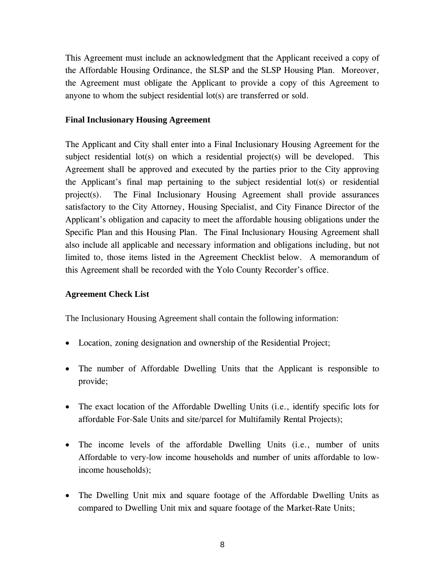This Agreement must include an acknowledgment that the Applicant received a copy of the Affordable Housing Ordinance, the SLSP and the SLSP Housing Plan. Moreover, the Agreement must obligate the Applicant to provide a copy of this Agreement to anyone to whom the subject residential lot(s) are transferred or sold.

### **Final Inclusionary Housing Agreement**

The Applicant and City shall enter into a Final Inclusionary Housing Agreement for the subject residential lot(s) on which a residential project(s) will be developed. This Agreement shall be approved and executed by the parties prior to the City approving the Applicant's final map pertaining to the subject residential lot(s) or residential project(s). The Final Inclusionary Housing Agreement shall provide assurances satisfactory to the City Attorney, Housing Specialist, and City Finance Director of the Applicant's obligation and capacity to meet the affordable housing obligations under the Specific Plan and this Housing Plan. The Final Inclusionary Housing Agreement shall also include all applicable and necessary information and obligations including, but not limited to, those items listed in the Agreement Checklist below. A memorandum of this Agreement shall be recorded with the Yolo County Recorder's office.

#### **Agreement Check List**

The Inclusionary Housing Agreement shall contain the following information:

- Location, zoning designation and ownership of the Residential Project;
- The number of Affordable Dwelling Units that the Applicant is responsible to provide;
- The exact location of the Affordable Dwelling Units (i.e., identify specific lots for affordable For-Sale Units and site/parcel for Multifamily Rental Projects);
- The income levels of the affordable Dwelling Units (i.e., number of units Affordable to very-low income households and number of units affordable to lowincome households);
- The Dwelling Unit mix and square footage of the Affordable Dwelling Units as compared to Dwelling Unit mix and square footage of the Market-Rate Units;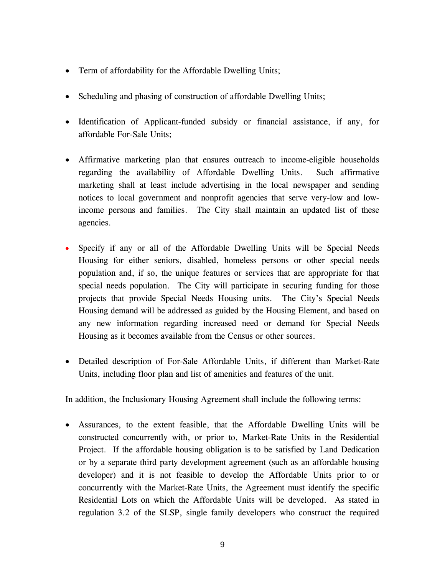- Term of affordability for the Affordable Dwelling Units;
- Scheduling and phasing of construction of affordable Dwelling Units;
- Identification of Applicant-funded subsidy or financial assistance, if any, for affordable For-Sale Units;
- Affirmative marketing plan that ensures outreach to income-eligible households regarding the availability of Affordable Dwelling Units. Such affirmative marketing shall at least include advertising in the local newspaper and sending notices to local government and nonprofit agencies that serve very-low and lowincome persons and families. The City shall maintain an updated list of these agencies.
- Specify if any or all of the Affordable Dwelling Units will be Special Needs Housing for either seniors, disabled, homeless persons or other special needs population and, if so, the unique features or services that are appropriate for that special needs population. The City will participate in securing funding for those projects that provide Special Needs Housing units. The City's Special Needs Housing demand will be addressed as guided by the Housing Element, and based on any new information regarding increased need or demand for Special Needs Housing as it becomes available from the Census or other sources.
- Detailed description of For-Sale Affordable Units, if different than Market-Rate Units, including floor plan and list of amenities and features of the unit.

In addition, the Inclusionary Housing Agreement shall include the following terms:

• Assurances, to the extent feasible, that the Affordable Dwelling Units will be constructed concurrently with, or prior to, Market-Rate Units in the Residential Project. If the affordable housing obligation is to be satisfied by Land Dedication or by a separate third party development agreement (such as an affordable housing developer) and it is not feasible to develop the Affordable Units prior to or concurrently with the Market-Rate Units, the Agreement must identify the specific Residential Lots on which the Affordable Units will be developed. As stated in regulation 3.2 of the SLSP, single family developers who construct the required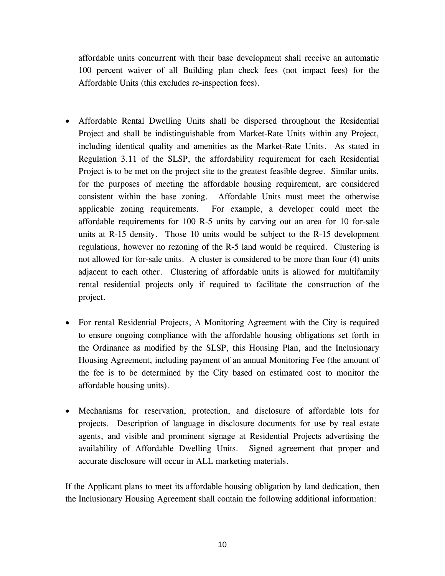affordable units concurrent with their base development shall receive an automatic 100 percent waiver of all Building plan check fees (not impact fees) for the Affordable Units (this excludes re-inspection fees).

- Affordable Rental Dwelling Units shall be dispersed throughout the Residential Project and shall be indistinguishable from Market-Rate Units within any Project, including identical quality and amenities as the Market-Rate Units. As stated in Regulation 3.11 of the SLSP, the affordability requirement for each Residential Project is to be met on the project site to the greatest feasible degree. Similar units, for the purposes of meeting the affordable housing requirement, are considered consistent within the base zoning. Affordable Units must meet the otherwise applicable zoning requirements. For example, a developer could meet the affordable requirements for 100 R-5 units by carving out an area for 10 for-sale units at R-15 density. Those 10 units would be subject to the R-15 development regulations, however no rezoning of the R-5 land would be required. Clustering is not allowed for for-sale units. A cluster is considered to be more than four (4) units adjacent to each other. Clustering of affordable units is allowed for multifamily rental residential projects only if required to facilitate the construction of the project.
- For rental Residential Projects, A Monitoring Agreement with the City is required to ensure ongoing compliance with the affordable housing obligations set forth in the Ordinance as modified by the SLSP, this Housing Plan, and the Inclusionary Housing Agreement, including payment of an annual Monitoring Fee (the amount of the fee is to be determined by the City based on estimated cost to monitor the affordable housing units).
- Mechanisms for reservation, protection, and disclosure of affordable lots for projects. Description of language in disclosure documents for use by real estate agents, and visible and prominent signage at Residential Projects advertising the availability of Affordable Dwelling Units. Signed agreement that proper and accurate disclosure will occur in ALL marketing materials.

If the Applicant plans to meet its affordable housing obligation by land dedication, then the Inclusionary Housing Agreement shall contain the following additional information: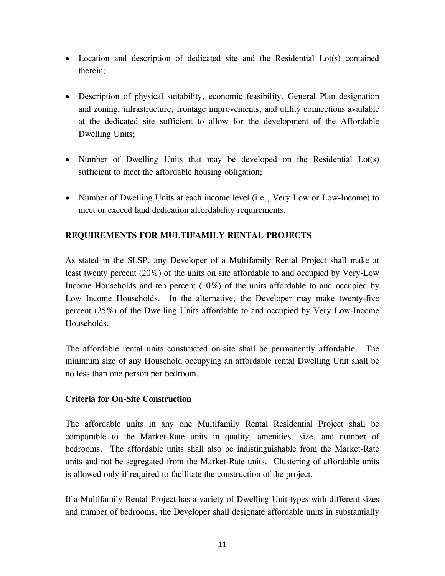- Location and description of dedicated site and the Residential Lot(s) contained therein;
- Description of physical suitability, economic feasibility, General Plan designation and zoning, infrastructure, frontage improvements, and utility connections available at the dedicated site sufficient to allow for the development of the Affordable Dwelling Units;
- Number of Dwelling Units that may be developed on the Residential Lot(s) sufficient to meet the affordable housing obligation;
- Number of Dwelling Units at each income level (i.e., Very Low or Low-Income) to meet or exceed land dedication affordability requirements.

# **REQUIREMENTS FOR MULTIFAMILY RENTAL PROJECTS**

As stated in the SLSP, any Developer of a Multifamily Rental Project shall make at least twenty percent (20%) of the units on site affordable to and occupied by Very-Low Income Households and ten percent (10%) of the units affordable to and occupied by Low Income Households. In the alternative, the Developer may make twenty-five percent (25%) of the Dwelling Units affordable to and occupied by Very Low-Income Households.

The affordable rental units constructed on-site shall be permanently affordable. The minimum size of any Household occupying an affordable rental Dwelling Unit shall be no less than one person per bedroom.

#### **Criteria for On-Site Construction**

The affordable units in any one Multifamily Rental Residential Project shall be comparable to the Market-Rate units in quality, amenities, size, and number of bedrooms. The affordable units shall also be indistinguishable from the Market-Rate units and not be segregated from the Market-Rate units. Clustering of affordable units is allowed only if required to facilitate the construction of the project.

If a Multifamily Rental Project has a variety of Dwelling Unit types with different sizes and number of bedrooms, the Developer shall designate affordable units in substantially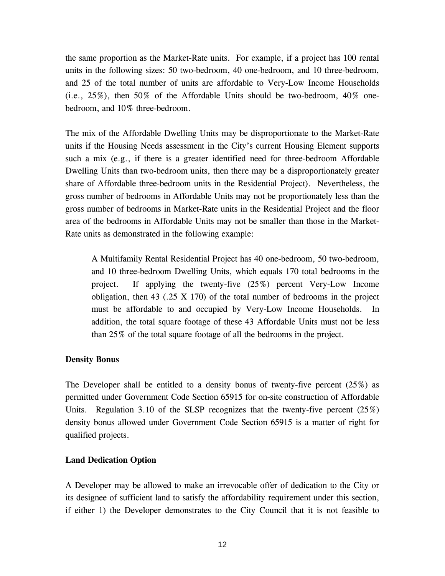the same proportion as the Market-Rate units. For example, if a project has 100 rental units in the following sizes: 50 two-bedroom, 40 one-bedroom, and 10 three-bedroom, and 25 of the total number of units are affordable to Very-Low Income Households (i.e., 25%), then 50% of the Affordable Units should be two-bedroom, 40% onebedroom, and 10% three-bedroom.

The mix of the Affordable Dwelling Units may be disproportionate to the Market-Rate units if the Housing Needs assessment in the City's current Housing Element supports such a mix (e.g., if there is a greater identified need for three-bedroom Affordable Dwelling Units than two-bedroom units, then there may be a disproportionately greater share of Affordable three-bedroom units in the Residential Project). Nevertheless, the gross number of bedrooms in Affordable Units may not be proportionately less than the gross number of bedrooms in Market-Rate units in the Residential Project and the floor area of the bedrooms in Affordable Units may not be smaller than those in the Market-Rate units as demonstrated in the following example:

A Multifamily Rental Residential Project has 40 one-bedroom, 50 two-bedroom, and 10 three-bedroom Dwelling Units, which equals 170 total bedrooms in the project. If applying the twenty-five (25%) percent Very-Low Income obligation, then  $43$  (.25 X 170) of the total number of bedrooms in the project must be affordable to and occupied by Very-Low Income Households. In addition, the total square footage of these 43 Affordable Units must not be less than 25% of the total square footage of all the bedrooms in the project.

# **Density Bonus**

The Developer shall be entitled to a density bonus of twenty-five percent  $(25\%)$  as permitted under Government Code Section 65915 for on-site construction of Affordable Units. Regulation 3.10 of the SLSP recognizes that the twenty-five percent  $(25\%)$ density bonus allowed under Government Code Section 65915 is a matter of right for qualified projects.

#### **Land Dedication Option**

A Developer may be allowed to make an irrevocable offer of dedication to the City or its designee of sufficient land to satisfy the affordability requirement under this section, if either 1) the Developer demonstrates to the City Council that it is not feasible to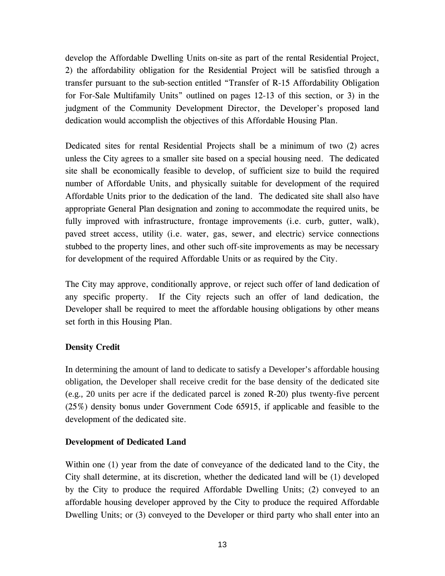develop the Affordable Dwelling Units on-site as part of the rental Residential Project, 2) the affordability obligation for the Residential Project will be satisfied through a transfer pursuant to the sub-section entitled "Transfer of R-15 Affordability Obligation for For-Sale Multifamily Units" outlined on pages 12-13 of this section, or 3) in the judgment of the Community Development Director, the Developer's proposed land dedication would accomplish the objectives of this Affordable Housing Plan.

Dedicated sites for rental Residential Projects shall be a minimum of two (2) acres unless the City agrees to a smaller site based on a special housing need. The dedicated site shall be economically feasible to develop, of sufficient size to build the required number of Affordable Units, and physically suitable for development of the required Affordable Units prior to the dedication of the land. The dedicated site shall also have appropriate General Plan designation and zoning to accommodate the required units, be fully improved with infrastructure, frontage improvements (i.e. curb, gutter, walk), paved street access, utility (i.e. water, gas, sewer, and electric) service connections stubbed to the property lines, and other such off-site improvements as may be necessary for development of the required Affordable Units or as required by the City.

The City may approve, conditionally approve, or reject such offer of land dedication of any specific property. If the City rejects such an offer of land dedication, the Developer shall be required to meet the affordable housing obligations by other means set forth in this Housing Plan.

# **Density Credit**

In determining the amount of land to dedicate to satisfy a Developer's affordable housing obligation, the Developer shall receive credit for the base density of the dedicated site (e.g., 20 units per acre if the dedicated parcel is zoned R-20) plus twenty-five percent (25%) density bonus under Government Code 65915, if applicable and feasible to the development of the dedicated site.

# **Development of Dedicated Land**

Within one (1) year from the date of conveyance of the dedicated land to the City, the City shall determine, at its discretion, whether the dedicated land will be (1) developed by the City to produce the required Affordable Dwelling Units; (2) conveyed to an affordable housing developer approved by the City to produce the required Affordable Dwelling Units; or (3) conveyed to the Developer or third party who shall enter into an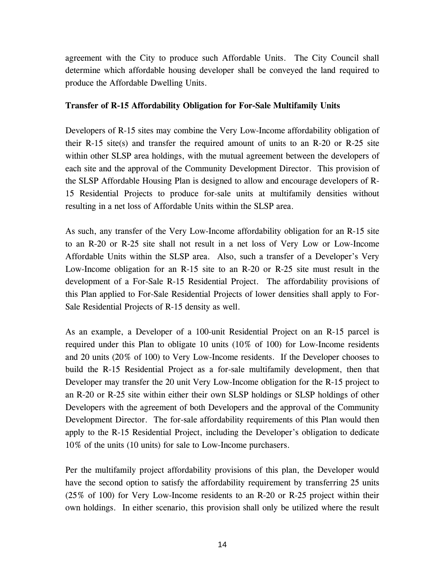agreement with the City to produce such Affordable Units. The City Council shall determine which affordable housing developer shall be conveyed the land required to produce the Affordable Dwelling Units.

# **Transfer of R-15 Affordability Obligation for For-Sale Multifamily Units**

Developers of R-15 sites may combine the Very Low-Income affordability obligation of their R-15 site(s) and transfer the required amount of units to an R-20 or R-25 site within other SLSP area holdings, with the mutual agreement between the developers of each site and the approval of the Community Development Director. This provision of the SLSP Affordable Housing Plan is designed to allow and encourage developers of R-15 Residential Projects to produce for-sale units at multifamily densities without resulting in a net loss of Affordable Units within the SLSP area.

As such, any transfer of the Very Low-Income affordability obligation for an R-15 site to an R-20 or R-25 site shall not result in a net loss of Very Low or Low-Income Affordable Units within the SLSP area. Also, such a transfer of a Developer's Very Low-Income obligation for an R-15 site to an R-20 or R-25 site must result in the development of a For-Sale R-15 Residential Project. The affordability provisions of this Plan applied to For-Sale Residential Projects of lower densities shall apply to For-Sale Residential Projects of R-15 density as well.

As an example, a Developer of a 100-unit Residential Project on an R-15 parcel is required under this Plan to obligate 10 units (10% of 100) for Low-Income residents and 20 units (20% of 100) to Very Low-Income residents. If the Developer chooses to build the R-15 Residential Project as a for-sale multifamily development, then that Developer may transfer the 20 unit Very Low-Income obligation for the R-15 project to an R-20 or R-25 site within either their own SLSP holdings or SLSP holdings of other Developers with the agreement of both Developers and the approval of the Community Development Director. The for-sale affordability requirements of this Plan would then apply to the R-15 Residential Project, including the Developer's obligation to dedicate 10% of the units (10 units) for sale to Low-Income purchasers.

Per the multifamily project affordability provisions of this plan, the Developer would have the second option to satisfy the affordability requirement by transferring 25 units (25% of 100) for Very Low-Income residents to an R-20 or R-25 project within their own holdings. In either scenario, this provision shall only be utilized where the result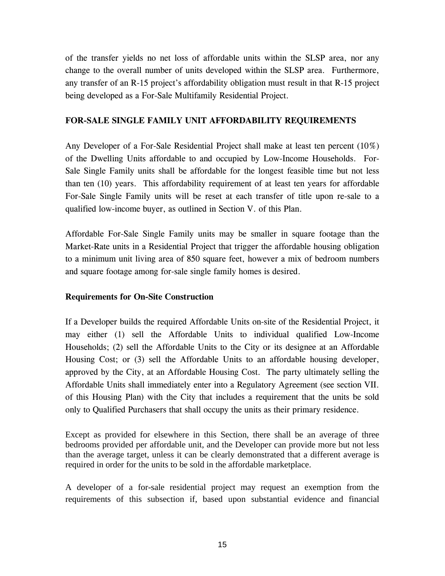of the transfer yields no net loss of affordable units within the SLSP area, nor any change to the overall number of units developed within the SLSP area. Furthermore, any transfer of an R-15 project's affordability obligation must result in that R-15 project being developed as a For-Sale Multifamily Residential Project.

# **FOR-SALE SINGLE FAMILY UNIT AFFORDABILITY REQUIREMENTS**

Any Developer of a For-Sale Residential Project shall make at least ten percent (10%) of the Dwelling Units affordable to and occupied by Low-Income Households. For-Sale Single Family units shall be affordable for the longest feasible time but not less than ten (10) years. This affordability requirement of at least ten years for affordable For-Sale Single Family units will be reset at each transfer of title upon re-sale to a qualified low-income buyer, as outlined in Section V. of this Plan.

Affordable For-Sale Single Family units may be smaller in square footage than the Market-Rate units in a Residential Project that trigger the affordable housing obligation to a minimum unit living area of 850 square feet, however a mix of bedroom numbers and square footage among for-sale single family homes is desired.

# **Requirements for On-Site Construction**

If a Developer builds the required Affordable Units on-site of the Residential Project, it may either (1) sell the Affordable Units to individual qualified Low-Income Households; (2) sell the Affordable Units to the City or its designee at an Affordable Housing Cost; or (3) sell the Affordable Units to an affordable housing developer, approved by the City, at an Affordable Housing Cost. The party ultimately selling the Affordable Units shall immediately enter into a Regulatory Agreement (see section VII. of this Housing Plan) with the City that includes a requirement that the units be sold only to Qualified Purchasers that shall occupy the units as their primary residence.

Except as provided for elsewhere in this Section, there shall be an average of three bedrooms provided per affordable unit, and the Developer can provide more but not less than the average target, unless it can be clearly demonstrated that a different average is required in order for the units to be sold in the affordable marketplace.

A developer of a for-sale residential project may request an exemption from the requirements of this subsection if, based upon substantial evidence and financial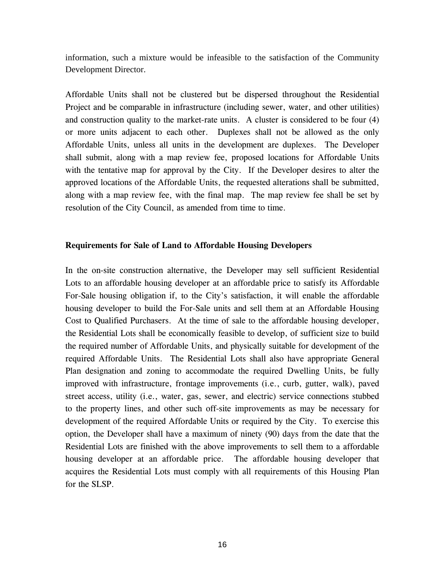information, such a mixture would be infeasible to the satisfaction of the Community Development Director.

Affordable Units shall not be clustered but be dispersed throughout the Residential Project and be comparable in infrastructure (including sewer, water, and other utilities) and construction quality to the market-rate units. A cluster is considered to be four (4) or more units adjacent to each other. Duplexes shall not be allowed as the only Affordable Units, unless all units in the development are duplexes. The Developer shall submit, along with a map review fee, proposed locations for Affordable Units with the tentative map for approval by the City. If the Developer desires to alter the approved locations of the Affordable Units, the requested alterations shall be submitted, along with a map review fee, with the final map. The map review fee shall be set by resolution of the City Council, as amended from time to time.

#### **Requirements for Sale of Land to Affordable Housing Developers**

In the on-site construction alternative, the Developer may sell sufficient Residential Lots to an affordable housing developer at an affordable price to satisfy its Affordable For-Sale housing obligation if, to the City's satisfaction, it will enable the affordable housing developer to build the For-Sale units and sell them at an Affordable Housing Cost to Qualified Purchasers. At the time of sale to the affordable housing developer, the Residential Lots shall be economically feasible to develop, of sufficient size to build the required number of Affordable Units, and physically suitable for development of the required Affordable Units. The Residential Lots shall also have appropriate General Plan designation and zoning to accommodate the required Dwelling Units, be fully improved with infrastructure, frontage improvements (i.e., curb, gutter, walk), paved street access, utility (i.e., water, gas, sewer, and electric) service connections stubbed to the property lines, and other such off-site improvements as may be necessary for development of the required Affordable Units or required by the City. To exercise this option, the Developer shall have a maximum of ninety (90) days from the date that the Residential Lots are finished with the above improvements to sell them to a affordable housing developer at an affordable price. The affordable housing developer that acquires the Residential Lots must comply with all requirements of this Housing Plan for the SLSP.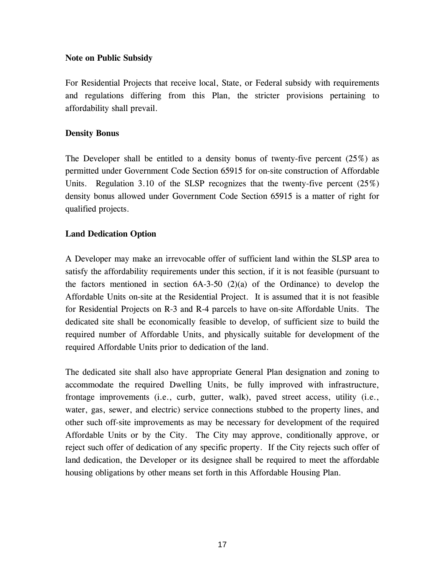### **Note on Public Subsidy**

For Residential Projects that receive local, State, or Federal subsidy with requirements and regulations differing from this Plan, the stricter provisions pertaining to affordability shall prevail.

### **Density Bonus**

The Developer shall be entitled to a density bonus of twenty-five percent  $(25\%)$  as permitted under Government Code Section 65915 for on-site construction of Affordable Units. Regulation 3.10 of the SLSP recognizes that the twenty-five percent (25%) density bonus allowed under Government Code Section 65915 is a matter of right for qualified projects.

# **Land Dedication Option**

A Developer may make an irrevocable offer of sufficient land within the SLSP area to satisfy the affordability requirements under this section, if it is not feasible (pursuant to the factors mentioned in section  $6A-3-50$  (2)(a) of the Ordinance) to develop the Affordable Units on-site at the Residential Project. It is assumed that it is not feasible for Residential Projects on R-3 and R-4 parcels to have on-site Affordable Units. The dedicated site shall be economically feasible to develop, of sufficient size to build the required number of Affordable Units, and physically suitable for development of the required Affordable Units prior to dedication of the land.

The dedicated site shall also have appropriate General Plan designation and zoning to accommodate the required Dwelling Units, be fully improved with infrastructure, frontage improvements (i.e., curb, gutter, walk), paved street access, utility (i.e., water, gas, sewer, and electric) service connections stubbed to the property lines, and other such off-site improvements as may be necessary for development of the required Affordable Units or by the City. The City may approve, conditionally approve, or reject such offer of dedication of any specific property. If the City rejects such offer of land dedication, the Developer or its designee shall be required to meet the affordable housing obligations by other means set forth in this Affordable Housing Plan.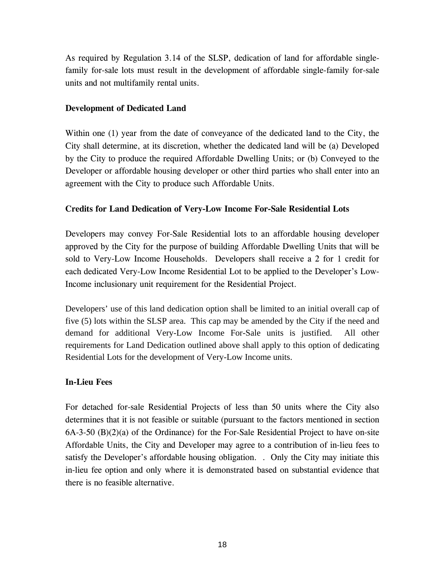As required by Regulation 3.14 of the SLSP, dedication of land for affordable singlefamily for-sale lots must result in the development of affordable single-family for-sale units and not multifamily rental units.

# **Development of Dedicated Land**

Within one (1) year from the date of conveyance of the dedicated land to the City, the City shall determine, at its discretion, whether the dedicated land will be (a) Developed by the City to produce the required Affordable Dwelling Units; or (b) Conveyed to the Developer or affordable housing developer or other third parties who shall enter into an agreement with the City to produce such Affordable Units.

# **Credits for Land Dedication of Very-Low Income For-Sale Residential Lots**

Developers may convey For-Sale Residential lots to an affordable housing developer approved by the City for the purpose of building Affordable Dwelling Units that will be sold to Very-Low Income Households. Developers shall receive a 2 for 1 credit for each dedicated Very-Low Income Residential Lot to be applied to the Developer's Low-Income inclusionary unit requirement for the Residential Project.

Developers' use of this land dedication option shall be limited to an initial overall cap of five (5) lots within the SLSP area. This cap may be amended by the City if the need and demand for additional Very-Low Income For-Sale units is justified. All other requirements for Land Dedication outlined above shall apply to this option of dedicating Residential Lots for the development of Very-Low Income units.

# **In-Lieu Fees**

For detached for-sale Residential Projects of less than 50 units where the City also determines that it is not feasible or suitable (pursuant to the factors mentioned in section  $6A-3-50$   $(B)(2)(a)$  of the Ordinance) for the For-Sale Residential Project to have on-site Affordable Units, the City and Developer may agree to a contribution of in-lieu fees to satisfy the Developer's affordable housing obligation. . Only the City may initiate this in-lieu fee option and only where it is demonstrated based on substantial evidence that there is no feasible alternative.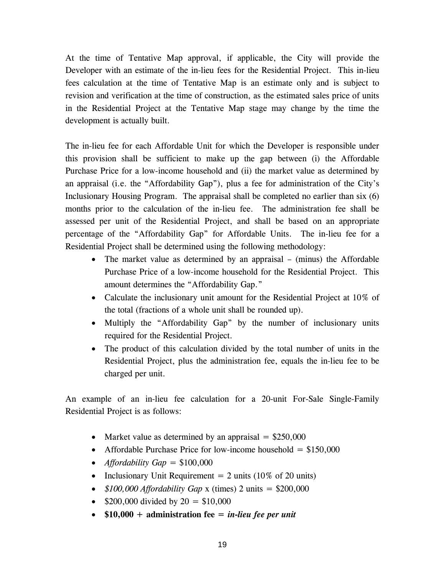At the time of Tentative Map approval, if applicable, the City will provide the Developer with an estimate of the in-lieu fees for the Residential Project. This in-lieu fees calculation at the time of Tentative Map is an estimate only and is subject to revision and verification at the time of construction, as the estimated sales price of units in the Residential Project at the Tentative Map stage may change by the time the development is actually built.

The in-lieu fee for each Affordable Unit for which the Developer is responsible under this provision shall be sufficient to make up the gap between (i) the Affordable Purchase Price for a low-income household and (ii) the market value as determined by an appraisal (i.e. the "Affordability Gap"), plus a fee for administration of the City's Inclusionary Housing Program. The appraisal shall be completed no earlier than six (6) months prior to the calculation of the in-lieu fee. The administration fee shall be assessed per unit of the Residential Project, and shall be based on an appropriate percentage of the "Affordability Gap" for Affordable Units. The in-lieu fee for a Residential Project shall be determined using the following methodology:

- The market value as determined by an appraisal (minus) the Affordable Purchase Price of a low-income household for the Residential Project. This amount determines the "Affordability Gap."
- Calculate the inclusionary unit amount for the Residential Project at 10% of the total (fractions of a whole unit shall be rounded up).
- Multiply the "Affordability Gap" by the number of inclusionary units required for the Residential Project.
- The product of this calculation divided by the total number of units in the Residential Project, plus the administration fee, equals the in-lieu fee to be charged per unit.

An example of an in-lieu fee calculation for a 20-unit For-Sale Single-Family Residential Project is as follows:

- Market value as determined by an appraisal  $=$  \$250,000
- Affordable Purchase Price for low-income household  $= $150,000$
- *Affordability Gap* = \$100,000
- Inclusionary Unit Requirement  $= 2$  units (10% of 20 units)
- $$100,000$  *Affordability Gap* x (times) 2 units = \$200,000
- \$200,000 divided by  $20 = $10,000$
- **\$10,000 + administration fee =** *in-lieu fee per unit*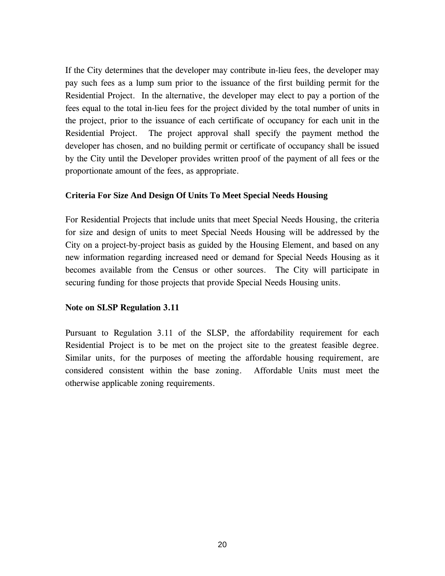If the City determines that the developer may contribute in-lieu fees, the developer may pay such fees as a lump sum prior to the issuance of the first building permit for the Residential Project. In the alternative, the developer may elect to pay a portion of the fees equal to the total in-lieu fees for the project divided by the total number of units in the project, prior to the issuance of each certificate of occupancy for each unit in the Residential Project. The project approval shall specify the payment method the developer has chosen, and no building permit or certificate of occupancy shall be issued by the City until the Developer provides written proof of the payment of all fees or the proportionate amount of the fees, as appropriate.

#### **Criteria For Size And Design Of Units To Meet Special Needs Housing**

For Residential Projects that include units that meet Special Needs Housing, the criteria for size and design of units to meet Special Needs Housing will be addressed by the City on a project-by-project basis as guided by the Housing Element, and based on any new information regarding increased need or demand for Special Needs Housing as it becomes available from the Census or other sources. The City will participate in securing funding for those projects that provide Special Needs Housing units.

#### **Note on SLSP Regulation 3.11**

Pursuant to Regulation 3.11 of the SLSP, the affordability requirement for each Residential Project is to be met on the project site to the greatest feasible degree. Similar units, for the purposes of meeting the affordable housing requirement, are considered consistent within the base zoning. Affordable Units must meet the otherwise applicable zoning requirements.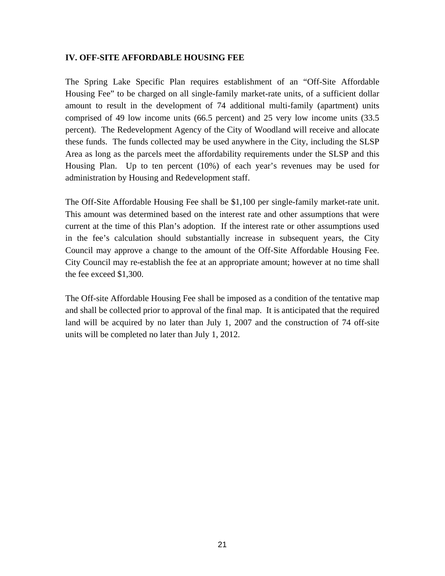#### **IV. OFF-SITE AFFORDABLE HOUSING FEE**

The Spring Lake Specific Plan requires establishment of an "Off-Site Affordable Housing Fee" to be charged on all single-family market-rate units, of a sufficient dollar amount to result in the development of 74 additional multi-family (apartment) units comprised of 49 low income units (66.5 percent) and 25 very low income units (33.5 percent). The Redevelopment Agency of the City of Woodland will receive and allocate these funds. The funds collected may be used anywhere in the City, including the SLSP Area as long as the parcels meet the affordability requirements under the SLSP and this Housing Plan. Up to ten percent (10%) of each year's revenues may be used for administration by Housing and Redevelopment staff.

The Off-Site Affordable Housing Fee shall be \$1,100 per single-family market-rate unit. This amount was determined based on the interest rate and other assumptions that were current at the time of this Plan's adoption. If the interest rate or other assumptions used in the fee's calculation should substantially increase in subsequent years, the City Council may approve a change to the amount of the Off-Site Affordable Housing Fee. City Council may re-establish the fee at an appropriate amount; however at no time shall the fee exceed \$1,300.

The Off-site Affordable Housing Fee shall be imposed as a condition of the tentative map and shall be collected prior to approval of the final map. It is anticipated that the required land will be acquired by no later than July 1, 2007 and the construction of 74 off-site units will be completed no later than July 1, 2012.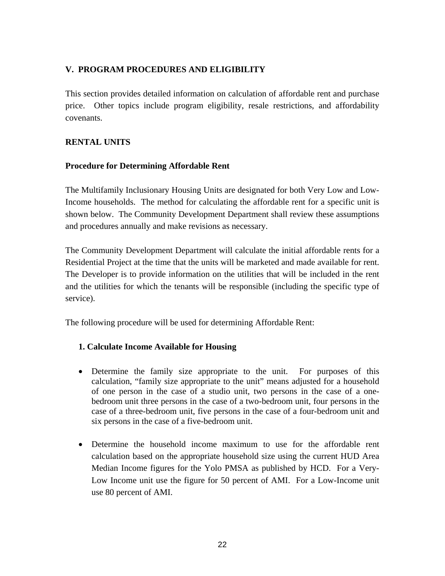# **V. PROGRAM PROCEDURES AND ELIGIBILITY**

This section provides detailed information on calculation of affordable rent and purchase price. Other topics include program eligibility, resale restrictions, and affordability covenants.

# **RENTAL UNITS**

# **Procedure for Determining Affordable Rent**

The Multifamily Inclusionary Housing Units are designated for both Very Low and Low-Income households. The method for calculating the affordable rent for a specific unit is shown below. The Community Development Department shall review these assumptions and procedures annually and make revisions as necessary.

The Community Development Department will calculate the initial affordable rents for a Residential Project at the time that the units will be marketed and made available for rent. The Developer is to provide information on the utilities that will be included in the rent and the utilities for which the tenants will be responsible (including the specific type of service).

The following procedure will be used for determining Affordable Rent:

# **1. Calculate Income Available for Housing**

- Determine the family size appropriate to the unit. For purposes of this calculation, "family size appropriate to the unit" means adjusted for a household of one person in the case of a studio unit, two persons in the case of a onebedroom unit three persons in the case of a two-bedroom unit, four persons in the case of a three-bedroom unit, five persons in the case of a four-bedroom unit and six persons in the case of a five-bedroom unit.
- Determine the household income maximum to use for the affordable rent calculation based on the appropriate household size using the current HUD Area Median Income figures for the Yolo PMSA as published by HCD. For a Very-Low Income unit use the figure for 50 percent of AMI. For a Low-Income unit use 80 percent of AMI.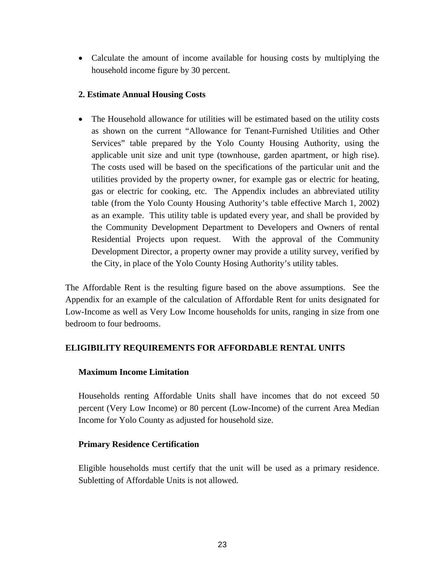• Calculate the amount of income available for housing costs by multiplying the household income figure by 30 percent.

#### **2. Estimate Annual Housing Costs**

• The Household allowance for utilities will be estimated based on the utility costs as shown on the current "Allowance for Tenant-Furnished Utilities and Other Services" table prepared by the Yolo County Housing Authority, using the applicable unit size and unit type (townhouse, garden apartment, or high rise). The costs used will be based on the specifications of the particular unit and the utilities provided by the property owner, for example gas or electric for heating, gas or electric for cooking, etc. The Appendix includes an abbreviated utility table (from the Yolo County Housing Authority's table effective March 1, 2002) as an example. This utility table is updated every year, and shall be provided by the Community Development Department to Developers and Owners of rental Residential Projects upon request. With the approval of the Community Development Director, a property owner may provide a utility survey, verified by the City, in place of the Yolo County Hosing Authority's utility tables.

The Affordable Rent is the resulting figure based on the above assumptions. See the Appendix for an example of the calculation of Affordable Rent for units designated for Low-Income as well as Very Low Income households for units, ranging in size from one bedroom to four bedrooms.

# **ELIGIBILITY REQUIREMENTS FOR AFFORDABLE RENTAL UNITS**

# **Maximum Income Limitation**

Households renting Affordable Units shall have incomes that do not exceed 50 percent (Very Low Income) or 80 percent (Low-Income) of the current Area Median Income for Yolo County as adjusted for household size.

# **Primary Residence Certification**

Eligible households must certify that the unit will be used as a primary residence. Subletting of Affordable Units is not allowed.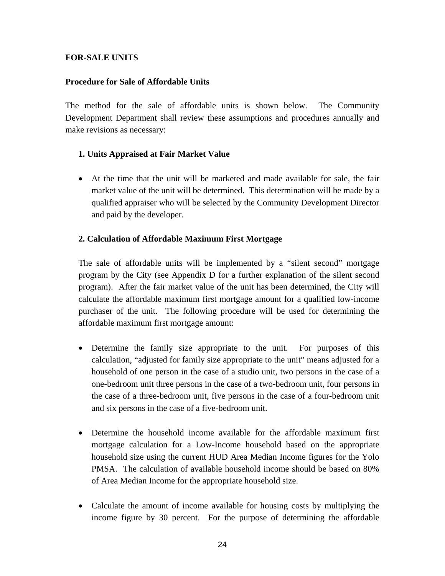### **FOR-SALE UNITS**

#### **Procedure for Sale of Affordable Units**

The method for the sale of affordable units is shown below. The Community Development Department shall review these assumptions and procedures annually and make revisions as necessary:

### **1. Units Appraised at Fair Market Value**

• At the time that the unit will be marketed and made available for sale, the fair market value of the unit will be determined. This determination will be made by a qualified appraiser who will be selected by the Community Development Director and paid by the developer.

#### **2. Calculation of Affordable Maximum First Mortgage**

The sale of affordable units will be implemented by a "silent second" mortgage program by the City (see Appendix D for a further explanation of the silent second program). After the fair market value of the unit has been determined, the City will calculate the affordable maximum first mortgage amount for a qualified low-income purchaser of the unit. The following procedure will be used for determining the affordable maximum first mortgage amount:

- Determine the family size appropriate to the unit. For purposes of this calculation, "adjusted for family size appropriate to the unit" means adjusted for a household of one person in the case of a studio unit, two persons in the case of a one-bedroom unit three persons in the case of a two-bedroom unit, four persons in the case of a three-bedroom unit, five persons in the case of a four-bedroom unit and six persons in the case of a five-bedroom unit.
- Determine the household income available for the affordable maximum first mortgage calculation for a Low-Income household based on the appropriate household size using the current HUD Area Median Income figures for the Yolo PMSA. The calculation of available household income should be based on 80% of Area Median Income for the appropriate household size.
- Calculate the amount of income available for housing costs by multiplying the income figure by 30 percent. For the purpose of determining the affordable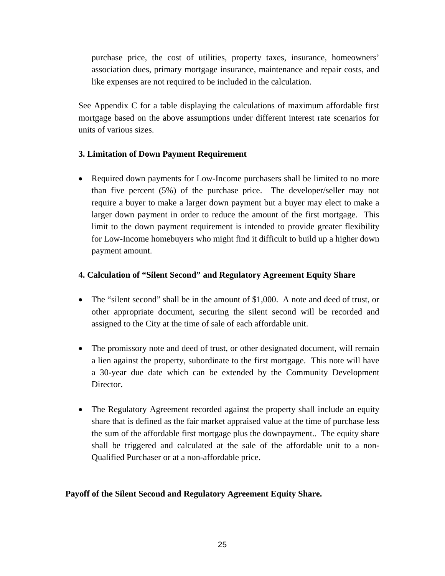purchase price, the cost of utilities, property taxes, insurance, homeowners' association dues, primary mortgage insurance, maintenance and repair costs, and like expenses are not required to be included in the calculation.

See Appendix C for a table displaying the calculations of maximum affordable first mortgage based on the above assumptions under different interest rate scenarios for units of various sizes.

# **3. Limitation of Down Payment Requirement**

• Required down payments for Low-Income purchasers shall be limited to no more than five percent (5%) of the purchase price. The developer/seller may not require a buyer to make a larger down payment but a buyer may elect to make a larger down payment in order to reduce the amount of the first mortgage. This limit to the down payment requirement is intended to provide greater flexibility for Low-Income homebuyers who might find it difficult to build up a higher down payment amount.

# **4. Calculation of "Silent Second" and Regulatory Agreement Equity Share**

- The "silent second" shall be in the amount of \$1,000. A note and deed of trust, or other appropriate document, securing the silent second will be recorded and assigned to the City at the time of sale of each affordable unit.
- The promissory note and deed of trust, or other designated document, will remain a lien against the property, subordinate to the first mortgage. This note will have a 30-year due date which can be extended by the Community Development Director.
- The Regulatory Agreement recorded against the property shall include an equity share that is defined as the fair market appraised value at the time of purchase less the sum of the affordable first mortgage plus the downpayment.. The equity share shall be triggered and calculated at the sale of the affordable unit to a non-Qualified Purchaser or at a non-affordable price.

# **Payoff of the Silent Second and Regulatory Agreement Equity Share.**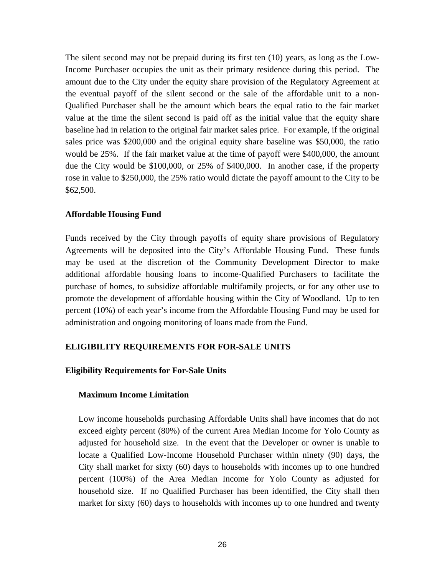The silent second may not be prepaid during its first ten (10) years, as long as the Low-Income Purchaser occupies the unit as their primary residence during this period. The amount due to the City under the equity share provision of the Regulatory Agreement at the eventual payoff of the silent second or the sale of the affordable unit to a non-Qualified Purchaser shall be the amount which bears the equal ratio to the fair market value at the time the silent second is paid off as the initial value that the equity share baseline had in relation to the original fair market sales price. For example, if the original sales price was \$200,000 and the original equity share baseline was \$50,000, the ratio would be 25%. If the fair market value at the time of payoff were \$400,000, the amount due the City would be \$100,000, or 25% of \$400,000. In another case, if the property rose in value to \$250,000, the 25% ratio would dictate the payoff amount to the City to be \$62,500.

#### **Affordable Housing Fund**

Funds received by the City through payoffs of equity share provisions of Regulatory Agreements will be deposited into the City's Affordable Housing Fund. These funds may be used at the discretion of the Community Development Director to make additional affordable housing loans to income-Qualified Purchasers to facilitate the purchase of homes, to subsidize affordable multifamily projects, or for any other use to promote the development of affordable housing within the City of Woodland. Up to ten percent (10%) of each year's income from the Affordable Housing Fund may be used for administration and ongoing monitoring of loans made from the Fund.

#### **ELIGIBILITY REQUIREMENTS FOR FOR-SALE UNITS**

#### **Eligibility Requirements for For-Sale Units**

#### **Maximum Income Limitation**

Low income households purchasing Affordable Units shall have incomes that do not exceed eighty percent (80%) of the current Area Median Income for Yolo County as adjusted for household size. In the event that the Developer or owner is unable to locate a Qualified Low-Income Household Purchaser within ninety (90) days, the City shall market for sixty (60) days to households with incomes up to one hundred percent (100%) of the Area Median Income for Yolo County as adjusted for household size. If no Qualified Purchaser has been identified, the City shall then market for sixty (60) days to households with incomes up to one hundred and twenty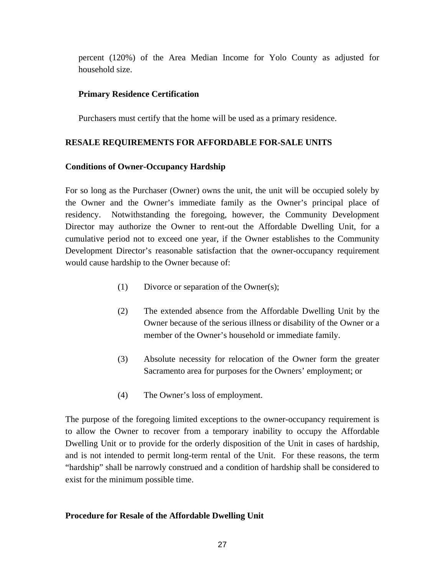percent (120%) of the Area Median Income for Yolo County as adjusted for household size.

#### **Primary Residence Certification**

Purchasers must certify that the home will be used as a primary residence.

#### **RESALE REQUIREMENTS FOR AFFORDABLE FOR-SALE UNITS**

#### **Conditions of Owner-Occupancy Hardship**

For so long as the Purchaser (Owner) owns the unit, the unit will be occupied solely by the Owner and the Owner's immediate family as the Owner's principal place of residency. Notwithstanding the foregoing, however, the Community Development Director may authorize the Owner to rent-out the Affordable Dwelling Unit, for a cumulative period not to exceed one year, if the Owner establishes to the Community Development Director's reasonable satisfaction that the owner-occupancy requirement would cause hardship to the Owner because of:

- (1) Divorce or separation of the Owner(s);
- (2) The extended absence from the Affordable Dwelling Unit by the Owner because of the serious illness or disability of the Owner or a member of the Owner's household or immediate family.
- (3) Absolute necessity for relocation of the Owner form the greater Sacramento area for purposes for the Owners' employment; or
- (4) The Owner's loss of employment.

The purpose of the foregoing limited exceptions to the owner-occupancy requirement is to allow the Owner to recover from a temporary inability to occupy the Affordable Dwelling Unit or to provide for the orderly disposition of the Unit in cases of hardship, and is not intended to permit long-term rental of the Unit. For these reasons, the term "hardship" shall be narrowly construed and a condition of hardship shall be considered to exist for the minimum possible time.

#### **Procedure for Resale of the Affordable Dwelling Unit**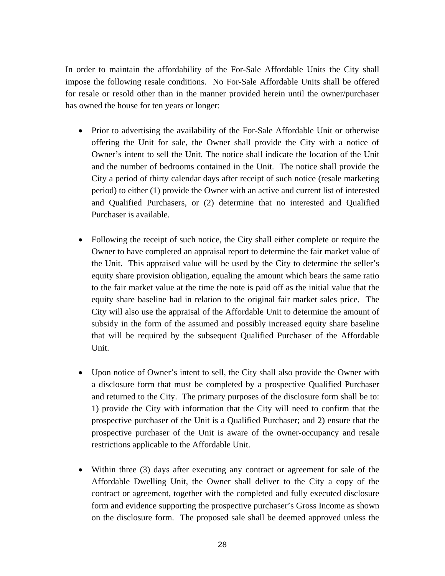In order to maintain the affordability of the For-Sale Affordable Units the City shall impose the following resale conditions. No For-Sale Affordable Units shall be offered for resale or resold other than in the manner provided herein until the owner/purchaser has owned the house for ten years or longer:

- Prior to advertising the availability of the For-Sale Affordable Unit or otherwise offering the Unit for sale, the Owner shall provide the City with a notice of Owner's intent to sell the Unit. The notice shall indicate the location of the Unit and the number of bedrooms contained in the Unit. The notice shall provide the City a period of thirty calendar days after receipt of such notice (resale marketing period) to either (1) provide the Owner with an active and current list of interested and Qualified Purchasers, or (2) determine that no interested and Qualified Purchaser is available.
- Following the receipt of such notice, the City shall either complete or require the Owner to have completed an appraisal report to determine the fair market value of the Unit. This appraised value will be used by the City to determine the seller's equity share provision obligation, equaling the amount which bears the same ratio to the fair market value at the time the note is paid off as the initial value that the equity share baseline had in relation to the original fair market sales price. The City will also use the appraisal of the Affordable Unit to determine the amount of subsidy in the form of the assumed and possibly increased equity share baseline that will be required by the subsequent Qualified Purchaser of the Affordable Unit.
- Upon notice of Owner's intent to sell, the City shall also provide the Owner with a disclosure form that must be completed by a prospective Qualified Purchaser and returned to the City. The primary purposes of the disclosure form shall be to: 1) provide the City with information that the City will need to confirm that the prospective purchaser of the Unit is a Qualified Purchaser; and 2) ensure that the prospective purchaser of the Unit is aware of the owner-occupancy and resale restrictions applicable to the Affordable Unit.
- Within three (3) days after executing any contract or agreement for sale of the Affordable Dwelling Unit, the Owner shall deliver to the City a copy of the contract or agreement, together with the completed and fully executed disclosure form and evidence supporting the prospective purchaser's Gross Income as shown on the disclosure form. The proposed sale shall be deemed approved unless the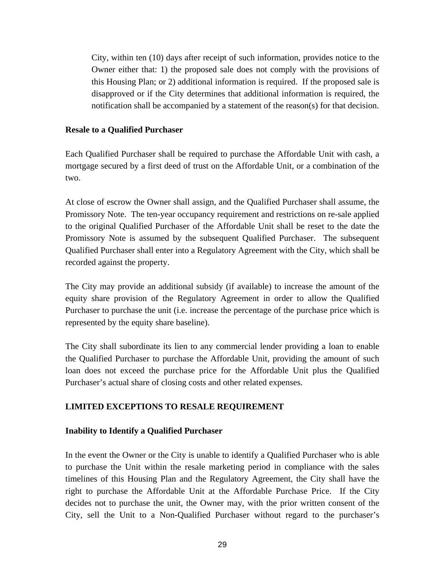City, within ten (10) days after receipt of such information, provides notice to the Owner either that: 1) the proposed sale does not comply with the provisions of this Housing Plan; or 2) additional information is required. If the proposed sale is disapproved or if the City determines that additional information is required, the notification shall be accompanied by a statement of the reason(s) for that decision.

#### **Resale to a Qualified Purchaser**

Each Qualified Purchaser shall be required to purchase the Affordable Unit with cash, a mortgage secured by a first deed of trust on the Affordable Unit, or a combination of the two.

At close of escrow the Owner shall assign, and the Qualified Purchaser shall assume, the Promissory Note. The ten-year occupancy requirement and restrictions on re-sale applied to the original Qualified Purchaser of the Affordable Unit shall be reset to the date the Promissory Note is assumed by the subsequent Qualified Purchaser. The subsequent Qualified Purchaser shall enter into a Regulatory Agreement with the City, which shall be recorded against the property.

The City may provide an additional subsidy (if available) to increase the amount of the equity share provision of the Regulatory Agreement in order to allow the Qualified Purchaser to purchase the unit (i.e. increase the percentage of the purchase price which is represented by the equity share baseline).

The City shall subordinate its lien to any commercial lender providing a loan to enable the Qualified Purchaser to purchase the Affordable Unit, providing the amount of such loan does not exceed the purchase price for the Affordable Unit plus the Qualified Purchaser's actual share of closing costs and other related expenses.

# **LIMITED EXCEPTIONS TO RESALE REQUIREMENT**

#### **Inability to Identify a Qualified Purchaser**

In the event the Owner or the City is unable to identify a Qualified Purchaser who is able to purchase the Unit within the resale marketing period in compliance with the sales timelines of this Housing Plan and the Regulatory Agreement, the City shall have the right to purchase the Affordable Unit at the Affordable Purchase Price. If the City decides not to purchase the unit, the Owner may, with the prior written consent of the City, sell the Unit to a Non-Qualified Purchaser without regard to the purchaser's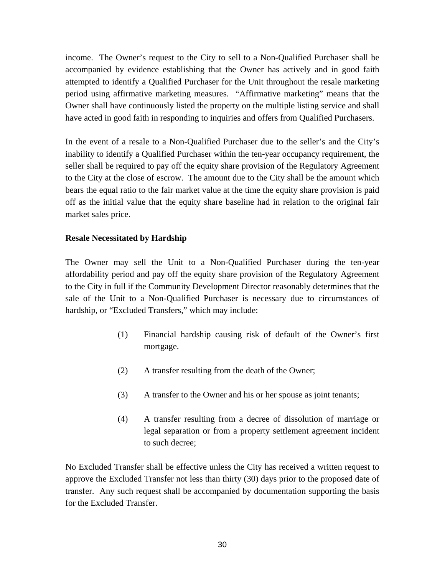income. The Owner's request to the City to sell to a Non-Qualified Purchaser shall be accompanied by evidence establishing that the Owner has actively and in good faith attempted to identify a Qualified Purchaser for the Unit throughout the resale marketing period using affirmative marketing measures. "Affirmative marketing" means that the Owner shall have continuously listed the property on the multiple listing service and shall have acted in good faith in responding to inquiries and offers from Qualified Purchasers.

In the event of a resale to a Non-Qualified Purchaser due to the seller's and the City's inability to identify a Qualified Purchaser within the ten-year occupancy requirement, the seller shall be required to pay off the equity share provision of the Regulatory Agreement to the City at the close of escrow. The amount due to the City shall be the amount which bears the equal ratio to the fair market value at the time the equity share provision is paid off as the initial value that the equity share baseline had in relation to the original fair market sales price.

# **Resale Necessitated by Hardship**

The Owner may sell the Unit to a Non-Qualified Purchaser during the ten-year affordability period and pay off the equity share provision of the Regulatory Agreement to the City in full if the Community Development Director reasonably determines that the sale of the Unit to a Non-Qualified Purchaser is necessary due to circumstances of hardship, or "Excluded Transfers," which may include:

- (1) Financial hardship causing risk of default of the Owner's first mortgage.
- (2) A transfer resulting from the death of the Owner;
- (3) A transfer to the Owner and his or her spouse as joint tenants;
- (4) A transfer resulting from a decree of dissolution of marriage or legal separation or from a property settlement agreement incident to such decree;

No Excluded Transfer shall be effective unless the City has received a written request to approve the Excluded Transfer not less than thirty (30) days prior to the proposed date of transfer. Any such request shall be accompanied by documentation supporting the basis for the Excluded Transfer.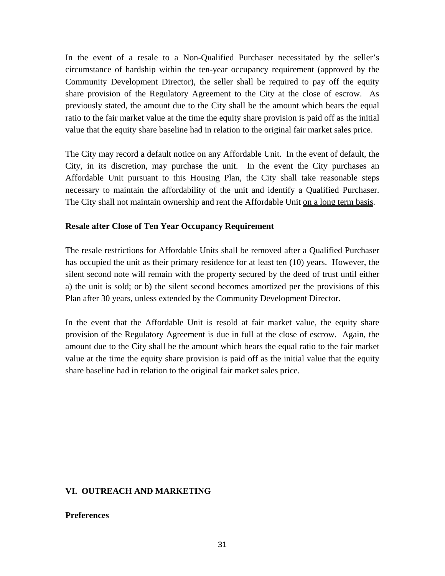In the event of a resale to a Non-Qualified Purchaser necessitated by the seller's circumstance of hardship within the ten-year occupancy requirement (approved by the Community Development Director), the seller shall be required to pay off the equity share provision of the Regulatory Agreement to the City at the close of escrow. As previously stated, the amount due to the City shall be the amount which bears the equal ratio to the fair market value at the time the equity share provision is paid off as the initial value that the equity share baseline had in relation to the original fair market sales price.

The City may record a default notice on any Affordable Unit. In the event of default, the City, in its discretion, may purchase the unit. In the event the City purchases an Affordable Unit pursuant to this Housing Plan, the City shall take reasonable steps necessary to maintain the affordability of the unit and identify a Qualified Purchaser. The City shall not maintain ownership and rent the Affordable Unit on a long term basis.

#### **Resale after Close of Ten Year Occupancy Requirement**

The resale restrictions for Affordable Units shall be removed after a Qualified Purchaser has occupied the unit as their primary residence for at least ten (10) years. However, the silent second note will remain with the property secured by the deed of trust until either a) the unit is sold; or b) the silent second becomes amortized per the provisions of this Plan after 30 years, unless extended by the Community Development Director.

In the event that the Affordable Unit is resold at fair market value, the equity share provision of the Regulatory Agreement is due in full at the close of escrow. Again, the amount due to the City shall be the amount which bears the equal ratio to the fair market value at the time the equity share provision is paid off as the initial value that the equity share baseline had in relation to the original fair market sales price.

#### **VI. OUTREACH AND MARKETING**

#### **Preferences**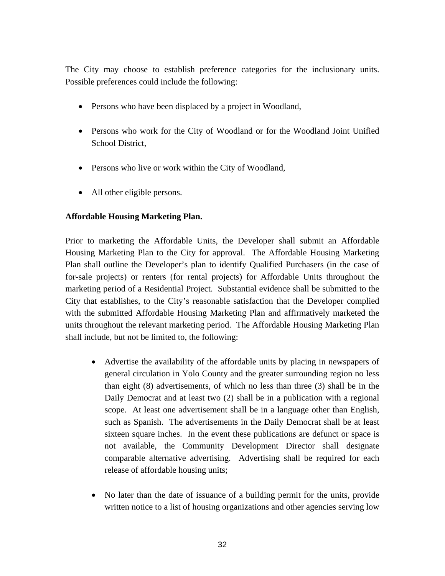The City may choose to establish preference categories for the inclusionary units. Possible preferences could include the following:

- Persons who have been displaced by a project in Woodland,
- Persons who work for the City of Woodland or for the Woodland Joint Unified School District,
- Persons who live or work within the City of Woodland,
- All other eligible persons.

# **Affordable Housing Marketing Plan.**

Prior to marketing the Affordable Units, the Developer shall submit an Affordable Housing Marketing Plan to the City for approval. The Affordable Housing Marketing Plan shall outline the Developer's plan to identify Qualified Purchasers (in the case of for-sale projects) or renters (for rental projects) for Affordable Units throughout the marketing period of a Residential Project. Substantial evidence shall be submitted to the City that establishes, to the City's reasonable satisfaction that the Developer complied with the submitted Affordable Housing Marketing Plan and affirmatively marketed the units throughout the relevant marketing period. The Affordable Housing Marketing Plan shall include, but not be limited to, the following:

- Advertise the availability of the affordable units by placing in newspapers of general circulation in Yolo County and the greater surrounding region no less than eight (8) advertisements, of which no less than three (3) shall be in the Daily Democrat and at least two (2) shall be in a publication with a regional scope. At least one advertisement shall be in a language other than English, such as Spanish. The advertisements in the Daily Democrat shall be at least sixteen square inches. In the event these publications are defunct or space is not available, the Community Development Director shall designate comparable alternative advertising. Advertising shall be required for each release of affordable housing units;
- No later than the date of issuance of a building permit for the units, provide written notice to a list of housing organizations and other agencies serving low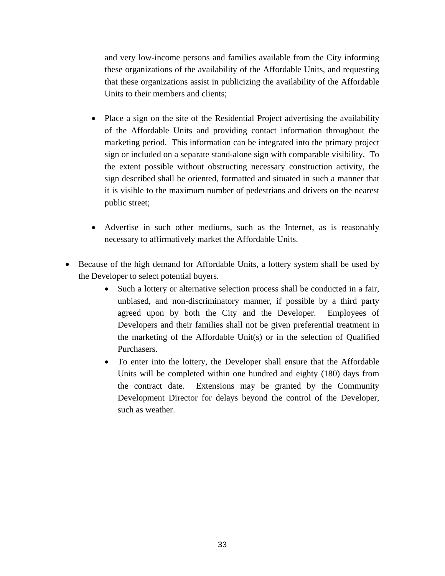and very low-income persons and families available from the City informing these organizations of the availability of the Affordable Units, and requesting that these organizations assist in publicizing the availability of the Affordable Units to their members and clients;

- Place a sign on the site of the Residential Project advertising the availability of the Affordable Units and providing contact information throughout the marketing period. This information can be integrated into the primary project sign or included on a separate stand-alone sign with comparable visibility. To the extent possible without obstructing necessary construction activity, the sign described shall be oriented, formatted and situated in such a manner that it is visible to the maximum number of pedestrians and drivers on the nearest public street;
- Advertise in such other mediums, such as the Internet, as is reasonably necessary to affirmatively market the Affordable Units.
- Because of the high demand for Affordable Units, a lottery system shall be used by the Developer to select potential buyers.
	- Such a lottery or alternative selection process shall be conducted in a fair, unbiased, and non-discriminatory manner, if possible by a third party agreed upon by both the City and the Developer. Employees of Developers and their families shall not be given preferential treatment in the marketing of the Affordable Unit(s) or in the selection of Qualified Purchasers.
	- To enter into the lottery, the Developer shall ensure that the Affordable Units will be completed within one hundred and eighty (180) days from the contract date. Extensions may be granted by the Community Development Director for delays beyond the control of the Developer, such as weather.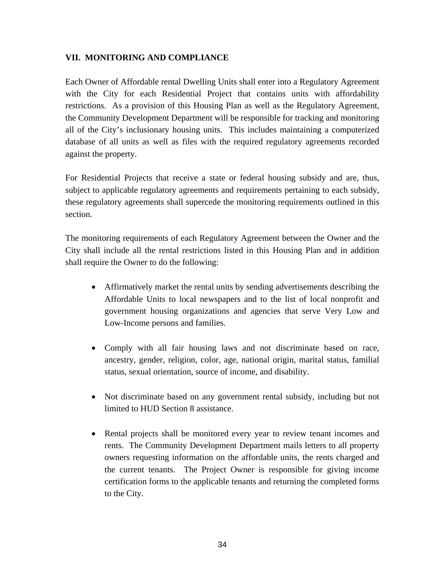# **VII. MONITORING AND COMPLIANCE**

Each Owner of Affordable rental Dwelling Units shall enter into a Regulatory Agreement with the City for each Residential Project that contains units with affordability restrictions. As a provision of this Housing Plan as well as the Regulatory Agreement, the Community Development Department will be responsible for tracking and monitoring all of the City's inclusionary housing units. This includes maintaining a computerized database of all units as well as files with the required regulatory agreements recorded against the property.

For Residential Projects that receive a state or federal housing subsidy and are, thus, subject to applicable regulatory agreements and requirements pertaining to each subsidy, these regulatory agreements shall supercede the monitoring requirements outlined in this section.

The monitoring requirements of each Regulatory Agreement between the Owner and the City shall include all the rental restrictions listed in this Housing Plan and in addition shall require the Owner to do the following:

- Affirmatively market the rental units by sending advertisements describing the Affordable Units to local newspapers and to the list of local nonprofit and government housing organizations and agencies that serve Very Low and Low-Income persons and families.
- Comply with all fair housing laws and not discriminate based on race, ancestry, gender, religion, color, age, national origin, marital status, familial status, sexual orientation, source of income, and disability.
- Not discriminate based on any government rental subsidy, including but not limited to HUD Section 8 assistance.
- Rental projects shall be monitored every year to review tenant incomes and rents. The Community Development Department mails letters to all property owners requesting information on the affordable units, the rents charged and the current tenants. The Project Owner is responsible for giving income certification forms to the applicable tenants and returning the completed forms to the City*.*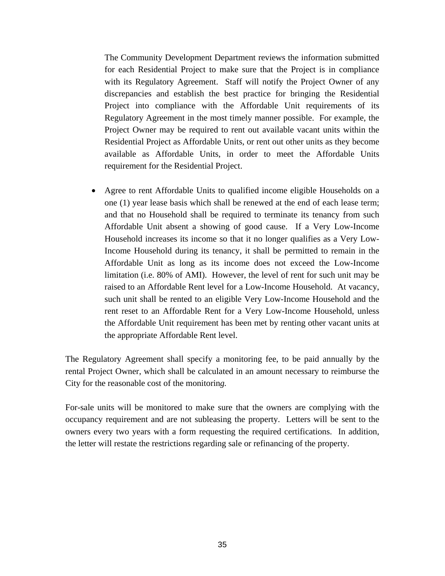The Community Development Department reviews the information submitted for each Residential Project to make sure that the Project is in compliance with its Regulatory Agreement. Staff will notify the Project Owner of any discrepancies and establish the best practice for bringing the Residential Project into compliance with the Affordable Unit requirements of its Regulatory Agreement in the most timely manner possible. For example, the Project Owner may be required to rent out available vacant units within the Residential Project as Affordable Units, or rent out other units as they become available as Affordable Units, in order to meet the Affordable Units requirement for the Residential Project.

• Agree to rent Affordable Units to qualified income eligible Households on a one (1) year lease basis which shall be renewed at the end of each lease term; and that no Household shall be required to terminate its tenancy from such Affordable Unit absent a showing of good cause. If a Very Low-Income Household increases its income so that it no longer qualifies as a Very Low-Income Household during its tenancy, it shall be permitted to remain in the Affordable Unit as long as its income does not exceed the Low-Income limitation (i.e. 80% of AMI). However, the level of rent for such unit may be raised to an Affordable Rent level for a Low-Income Household. At vacancy, such unit shall be rented to an eligible Very Low-Income Household and the rent reset to an Affordable Rent for a Very Low-Income Household, unless the Affordable Unit requirement has been met by renting other vacant units at the appropriate Affordable Rent level.

The Regulatory Agreement shall specify a monitoring fee, to be paid annually by the rental Project Owner, which shall be calculated in an amount necessary to reimburse the City for the reasonable cost of the monitorin*g.*

For-sale units will be monitored to make sure that the owners are complying with the occupancy requirement and are not subleasing the property. Letters will be sent to the owners every two years with a form requesting the required certifications. In addition, the letter will restate the restrictions regarding sale or refinancing of the property.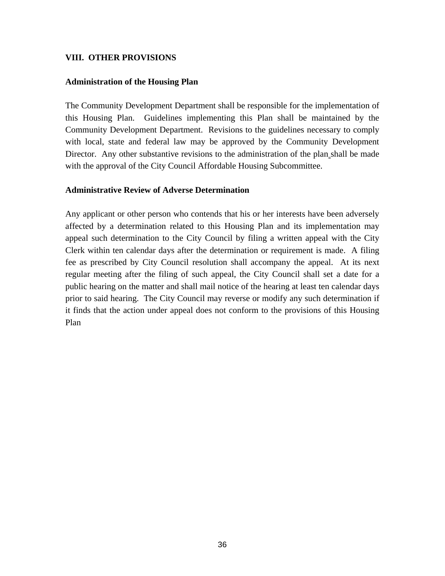### **VIII. OTHER PROVISIONS**

#### **Administration of the Housing Plan**

The Community Development Department shall be responsible for the implementation of this Housing Plan. Guidelines implementing this Plan shall be maintained by the Community Development Department. Revisions to the guidelines necessary to comply with local, state and federal law may be approved by the Community Development Director. Any other substantive revisions to the administration of the plan shall be made with the approval of the City Council Affordable Housing Subcommittee.

#### **Administrative Review of Adverse Determination**

Any applicant or other person who contends that his or her interests have been adversely affected by a determination related to this Housing Plan and its implementation may appeal such determination to the City Council by filing a written appeal with the City Clerk within ten calendar days after the determination or requirement is made. A filing fee as prescribed by City Council resolution shall accompany the appeal. At its next regular meeting after the filing of such appeal, the City Council shall set a date for a public hearing on the matter and shall mail notice of the hearing at least ten calendar days prior to said hearing. The City Council may reverse or modify any such determination if it finds that the action under appeal does not conform to the provisions of this Housing Plan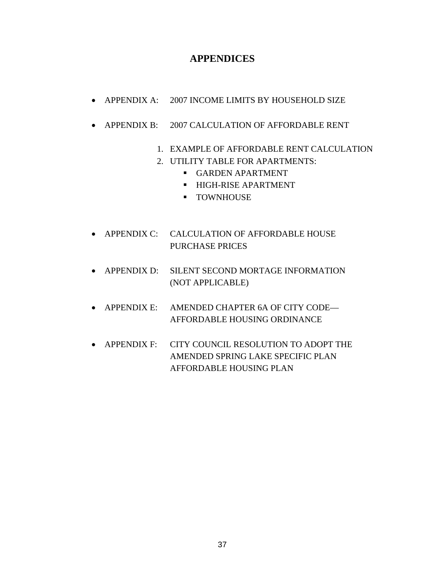### **APPENDICES**

- APPENDIX A: 2007 INCOME LIMITS BY HOUSEHOLD SIZE
- APPENDIX B: 2007 CALCULATION OF AFFORDABLE RENT
	- 1. EXAMPLE OF AFFORDABLE RENT CALCULATION
	- 2. UTILITY TABLE FOR APARTMENTS:
		- **GARDEN APARTMENT**
		- **HIGH-RISE APARTMENT**
		- **•** TOWNHOUSE
- APPENDIX C: CALCULATION OF AFFORDABLE HOUSE PURCHASE PRICES
- APPENDIX D: SILENT SECOND MORTAGE INFORMATION (NOT APPLICABLE)
- APPENDIX E: AMENDED CHAPTER 6A OF CITY CODE— AFFORDABLE HOUSING ORDINANCE
- APPENDIX F: CITY COUNCIL RESOLUTION TO ADOPT THE AMENDED SPRING LAKE SPECIFIC PLAN AFFORDABLE HOUSING PLAN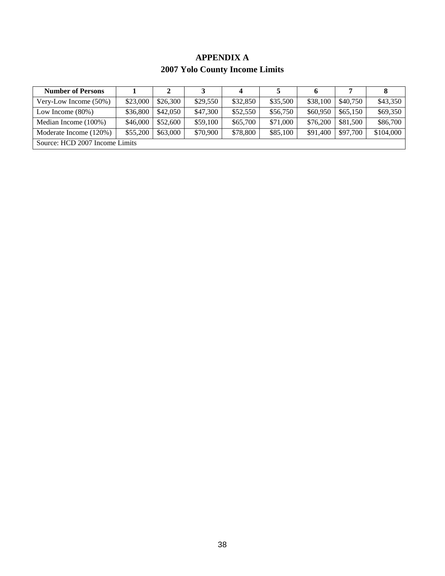### **APPENDIX A 2007 Yolo County Income Limits**

| <b>Number of Persons</b>       |          |          |          | 4        |          | 6        |          |           |
|--------------------------------|----------|----------|----------|----------|----------|----------|----------|-----------|
| Very-Low Income $(50\%)$       | \$23,000 | \$26,300 | \$29,550 | \$32,850 | \$35,500 | \$38,100 | \$40,750 | \$43,350  |
| Low Income $(80\%)$            | \$36,800 | \$42,050 | \$47,300 | \$52,550 | \$56,750 | \$60,950 | \$65,150 | \$69,350  |
| Median Income (100%)           | \$46,000 | \$52,600 | \$59,100 | \$65,700 | \$71,000 | \$76,200 | \$81,500 | \$86,700  |
| Moderate Income (120%)         | \$55,200 | \$63,000 | \$70,900 | \$78,800 | \$85,100 | \$91.400 | \$97,700 | \$104,000 |
| Source: HCD 2007 Income Limits |          |          |          |          |          |          |          |           |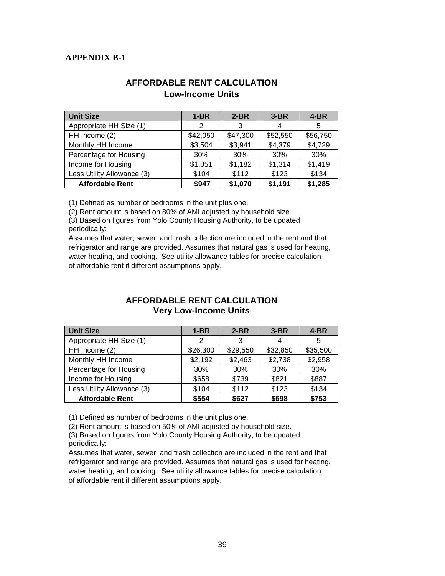### **APPENDIX B-1**

| <b>Unit Size</b>           | $1-BR$   | $2-BR$   | $3-BR$   | $4-BR$   |
|----------------------------|----------|----------|----------|----------|
| Appropriate HH Size (1)    | 2        | 3        | 4        | 5        |
| HH Income (2)              | \$42,050 | \$47,300 | \$52,550 | \$56,750 |
| Monthly HH Income          | \$3,504  | \$3,941  | \$4,379  | \$4,729  |
| Percentage for Housing     | 30%      | 30%      | 30%      | 30%      |
| Income for Housing         | \$1,051  | \$1,182  | \$1,314  | \$1,419  |
| Less Utility Allowance (3) | \$104    | \$112    | \$123    | \$134    |
| <b>Affordable Rent</b>     | \$947    | \$1,070  | \$1,191  | \$1,285  |

### **AFFORDABLE RENT CALCULATION Low-Income Units**

(1) Defined as number of bedrooms in the unit plus one.

(2) Rent amount is based on 80% of AMI adjusted by household size.

(3) Based on figures from Yolo County Housing Authority, to be updated periodically:

Assumes that water, sewer, and trash collection are included in the rent and that refrigerator and range are provided. Assumes that natural gas is used for heating, water heating, and cooking. See utility allowance tables for precise calculation of affordable rent if different assumptions apply.

### **AFFORDABLE RENT CALCULATION Very Low-Income Units**

| <b>Unit Size</b>           | $1-BR$   | $2-BR$   | $3-BR$   | $4-BR$   |
|----------------------------|----------|----------|----------|----------|
| Appropriate HH Size (1)    | 2        | 3        | 4        | 5        |
| HH Income (2)              | \$26,300 | \$29,550 | \$32,850 | \$35,500 |
| Monthly HH Income          | \$2,192  | \$2,463  | \$2,738  | \$2,958  |
| Percentage for Housing     | 30%      | 30%      | 30%      | 30%      |
| Income for Housing         | \$658    | \$739    | \$821    | \$887    |
| Less Utility Allowance (3) | \$104    | \$112    | \$123    | \$134    |
| <b>Affordable Rent</b>     | \$554    | \$627    | \$698    | \$753    |

(1) Defined as number of bedrooms in the unit plus one.

(2) Rent amount is based on 50% of AMI adjusted by household size.

(3) Based on figures from Yolo County Housing Authority, to be updated periodically:

Assumes that water, sewer, and trash collection are included in the rent and that refrigerator and range are provided. Assumes that natural gas is used for heating, water heating, and cooking. See utility allowance tables for precise calculation of affordable rent if different assumptions apply.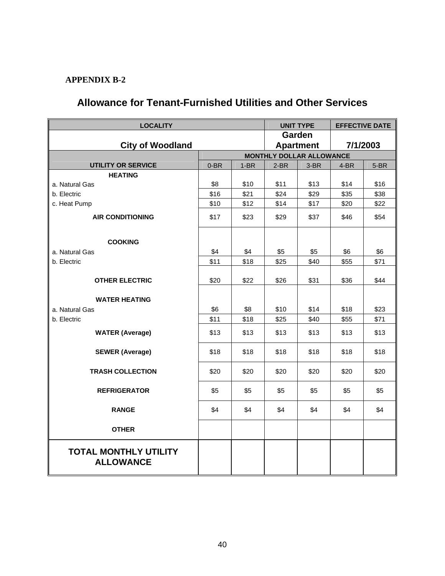### **APPENDIX B-2**

# **Allowance for Tenant-Furnished Utilities and Other Services**

| <b>LOCALITY</b>                                  |              | <b>UNIT TYPE</b> | <b>EFFECTIVE DATE</b>        |              |              |              |  |  |
|--------------------------------------------------|--------------|------------------|------------------------------|--------------|--------------|--------------|--|--|
|                                                  |              | Garden           |                              |              |              |              |  |  |
| <b>City of Woodland</b>                          |              |                  | 7/1/2003<br><b>Apartment</b> |              |              |              |  |  |
|                                                  |              |                  | MONTHLY DOLLAR ALLOWANCE     |              |              |              |  |  |
| <b>UTILITY OR SERVICE</b>                        | $0-BR$       | $1-BR$           | $2-BR$                       | 3-BR         | 4-BR         | 5-BR         |  |  |
| <b>HEATING</b>                                   |              |                  |                              |              |              |              |  |  |
| a. Natural Gas                                   | \$8          | \$10<br>\$21     | \$11<br>\$24                 | \$13<br>\$29 | \$14         | \$16<br>\$38 |  |  |
| b. Electric                                      | \$16<br>\$10 |                  | \$14                         | \$17         | \$35<br>\$20 | \$22         |  |  |
| c. Heat Pump                                     |              | \$12             |                              |              |              |              |  |  |
| <b>AIR CONDITIONING</b>                          | \$17         | \$23             | \$29                         | \$37         | \$46         | \$54         |  |  |
|                                                  |              |                  |                              |              |              |              |  |  |
| <b>COOKING</b>                                   |              |                  |                              |              |              |              |  |  |
| a. Natural Gas                                   | \$4          | \$4              | \$5                          | \$5          | \$6          | \$6          |  |  |
| b. Electric                                      | \$11         | \$18             | \$25                         | \$40         | \$55         | \$71         |  |  |
|                                                  |              |                  |                              |              |              |              |  |  |
| <b>OTHER ELECTRIC</b>                            | \$20         | \$22             | \$26                         | \$31         | \$36         | \$44         |  |  |
|                                                  |              |                  |                              |              |              |              |  |  |
| <b>WATER HEATING</b>                             |              |                  |                              |              |              |              |  |  |
| a. Natural Gas                                   | \$6          | \$8              | \$10                         | \$14         | \$18         | \$23         |  |  |
| b. Electric                                      | \$11         | \$18             | \$25                         | \$40         | \$55         | \$71         |  |  |
| <b>WATER (Average)</b>                           | \$13         | \$13             | \$13                         | \$13         | \$13         | \$13         |  |  |
| <b>SEWER (Average)</b>                           | \$18         | \$18             | \$18                         | \$18         | \$18         | \$18         |  |  |
|                                                  |              |                  |                              |              |              |              |  |  |
| <b>TRASH COLLECTION</b>                          | \$20         | \$20             | \$20                         | \$20         | \$20         | \$20         |  |  |
| <b>REFRIGERATOR</b>                              | \$5          | \$5              | \$5                          | \$5          | \$5          | \$5          |  |  |
| <b>RANGE</b>                                     | \$4          | \$4              | \$4                          | \$4          | \$4          | \$4          |  |  |
| <b>OTHER</b>                                     |              |                  |                              |              |              |              |  |  |
| <b>TOTAL MONTHLY UTILITY</b><br><b>ALLOWANCE</b> |              |                  |                              |              |              |              |  |  |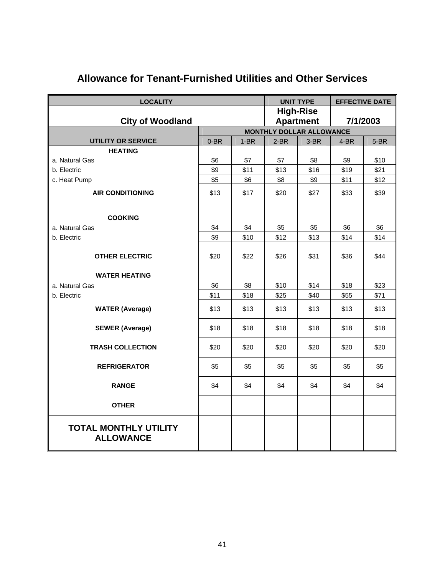| <b>LOCALITY</b>                                  |        |        |                                                          | <b>UNIT TYPE</b> | <b>EFFECTIVE DATE</b> |        |  |  |
|--------------------------------------------------|--------|--------|----------------------------------------------------------|------------------|-----------------------|--------|--|--|
|                                                  |        |        |                                                          | <b>High-Rise</b> |                       |        |  |  |
| <b>City of Woodland</b>                          |        |        | 7/1/2003<br><b>Apartment</b><br>MONTHLY DOLLAR ALLOWANCE |                  |                       |        |  |  |
| <b>UTILITY OR SERVICE</b>                        |        |        |                                                          |                  |                       |        |  |  |
| <b>HEATING</b>                                   | $0-BR$ | $1-BR$ | $2-BR$                                                   | 3-BR             | 4-BR                  | $5-BR$ |  |  |
| a. Natural Gas                                   | \$6    | \$7    | \$7                                                      | \$8              | \$9                   | \$10   |  |  |
| b. Electric                                      | \$9    | \$11   | \$13                                                     | \$16             | \$19                  | \$21   |  |  |
| c. Heat Pump                                     | \$5    | \$6    | \$8                                                      | \$9              | \$11                  | \$12   |  |  |
| <b>AIR CONDITIONING</b>                          | \$13   | \$17   | \$20                                                     | \$27             | \$33                  | \$39   |  |  |
| <b>COOKING</b>                                   |        |        |                                                          |                  |                       |        |  |  |
| a. Natural Gas                                   | \$4    | \$4    | \$5                                                      | \$5              | \$6                   | \$6    |  |  |
| b. Electric                                      | \$9    | \$10   | \$12                                                     | \$13             | \$14                  | \$14   |  |  |
| <b>OTHER ELECTRIC</b>                            | \$20   | \$22   | \$26                                                     | \$31             | \$36                  | \$44   |  |  |
| <b>WATER HEATING</b>                             |        |        |                                                          |                  |                       |        |  |  |
| a. Natural Gas                                   | \$6    | \$8    | \$10                                                     | \$14             | \$18                  | \$23   |  |  |
| b. Electric                                      | \$11   | \$18   | \$25                                                     | \$40             | \$55                  | \$71   |  |  |
| <b>WATER (Average)</b>                           | \$13   | \$13   | \$13                                                     | \$13             | \$13                  | \$13   |  |  |
| <b>SEWER (Average)</b>                           | \$18   | \$18   | \$18                                                     | \$18             | \$18                  | \$18   |  |  |
| <b>TRASH COLLECTION</b>                          | \$20   | \$20   | \$20                                                     | \$20             | \$20                  | \$20   |  |  |
| <b>REFRIGERATOR</b>                              | \$5    | \$5    | \$5                                                      | \$5              | \$5                   | \$5    |  |  |
| <b>RANGE</b>                                     | \$4    | \$4    | \$4                                                      | \$4              | \$4                   | \$4    |  |  |
| <b>OTHER</b>                                     |        |        |                                                          |                  |                       |        |  |  |
| <b>TOTAL MONTHLY UTILITY</b><br><b>ALLOWANCE</b> |        |        |                                                          |                  |                       |        |  |  |

# **Allowance for Tenant-Furnished Utilities and Other Services**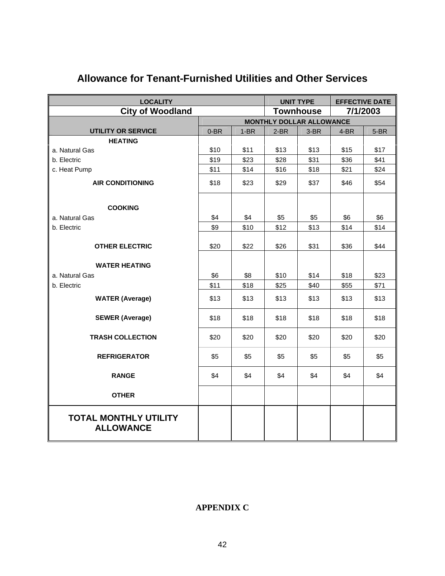| <b>LOCALITY</b>                                  |                              |        | <b>UNIT TYPE</b>                |        | <b>EFFECTIVE DATE</b> |        |  |  |
|--------------------------------------------------|------------------------------|--------|---------------------------------|--------|-----------------------|--------|--|--|
| <b>City of Woodland</b>                          | <b>Townhouse</b><br>7/1/2003 |        |                                 |        |                       |        |  |  |
|                                                  |                              |        | <b>MONTHLY DOLLAR ALLOWANCE</b> |        |                       |        |  |  |
| <b>UTILITY OR SERVICE</b>                        | $0-BR$                       | $1-BR$ | $2-BR$                          | $3-BR$ | $4-BR$                | $5-BR$ |  |  |
| <b>HEATING</b>                                   |                              |        |                                 |        |                       |        |  |  |
| a. Natural Gas                                   | \$10                         | \$11   | \$13                            | \$13   | \$15                  | \$17   |  |  |
| b. Electric                                      | \$19                         | \$23   | \$28                            | \$31   | \$36                  | \$41   |  |  |
| c. Heat Pump                                     | \$11                         | \$14   | \$16                            | \$18   | \$21                  | \$24   |  |  |
| <b>AIR CONDITIONING</b>                          | \$18                         | \$23   | \$29                            | \$37   | \$46                  | \$54   |  |  |
| <b>COOKING</b>                                   |                              |        |                                 |        |                       |        |  |  |
| a. Natural Gas                                   | \$4                          | \$4    | \$5                             | \$5    | \$6                   | \$6    |  |  |
| b. Electric                                      | \$9                          | \$10   | \$12                            | \$13   | \$14                  | \$14   |  |  |
| <b>OTHER ELECTRIC</b>                            | \$20                         | \$22   | \$26                            | \$31   | \$36                  | \$44   |  |  |
| <b>WATER HEATING</b>                             |                              |        |                                 |        |                       |        |  |  |
| a. Natural Gas                                   | \$6                          | \$8    | \$10                            | \$14   | \$18                  | \$23   |  |  |
| b. Electric                                      | \$11                         | \$18   | \$25                            | \$40   | \$55                  | \$71   |  |  |
| <b>WATER (Average)</b>                           | \$13                         | \$13   | \$13                            | \$13   | \$13                  | \$13   |  |  |
| <b>SEWER (Average)</b>                           | \$18                         | \$18   | \$18                            | \$18   | \$18                  | \$18   |  |  |
| <b>TRASH COLLECTION</b>                          | \$20                         | \$20   | \$20                            | \$20   | \$20                  | \$20   |  |  |
| <b>REFRIGERATOR</b>                              | \$5                          | \$5    | \$5                             | \$5    | \$5                   | \$5    |  |  |
| <b>RANGE</b>                                     | \$4                          | \$4    | \$4                             | \$4    | \$4                   | \$4    |  |  |
| <b>OTHER</b>                                     |                              |        |                                 |        |                       |        |  |  |
| <b>TOTAL MONTHLY UTILITY</b><br><b>ALLOWANCE</b> |                              |        |                                 |        |                       |        |  |  |

# **Allowance for Tenant-Furnished Utilities and Other Services**

### **APPENDIX C**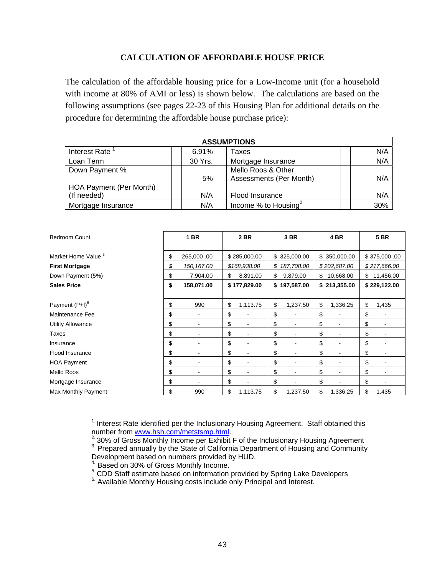#### **CALCULATION OF AFFORDABLE HOUSE PRICE**

The calculation of the affordable housing price for a Low-Income unit (for a household with income at 80% of AMI or less) is shown below. The calculations are based on the following assumptions (see pages 22-23 of this Housing Plan for additional details on the procedure for determining the affordable house purchase price):

| <b>ASSUMPTIONS</b>      |         |                                  |     |  |  |  |  |
|-------------------------|---------|----------------------------------|-----|--|--|--|--|
| Interest Rate           | 6.91%   | Taxes                            | N/A |  |  |  |  |
| Loan Term               | 30 Yrs. | Mortgage Insurance               | N/A |  |  |  |  |
| Down Payment %          |         | Mello Roos & Other               |     |  |  |  |  |
|                         | 5%      | Assessments (Per Month)          | N/A |  |  |  |  |
| HOA Payment (Per Month) |         |                                  |     |  |  |  |  |
| (If needed)             | N/A     | Flood Insurance                  | N/A |  |  |  |  |
| Mortgage Insurance      | N/A     | Income % to Housing <sup>2</sup> | 30% |  |  |  |  |

| <b>Bedroom Count</b>           | <b>1 BR</b>       | 2 BR           | 3 BR             | 4 BR            | <b>5 BR</b>     |
|--------------------------------|-------------------|----------------|------------------|-----------------|-----------------|
|                                |                   |                |                  |                 |                 |
| Market Home Value <sup>5</sup> | \$<br>265,000.00  | \$285,000.00   | \$325,000.00     | \$350,000.00    | \$375,000.00    |
| <b>First Mortgage</b>          | \$<br>150, 167.00 | \$168,938.00   | \$<br>187,708.00 | \$202,687.00    | \$217,666.00    |
| Down Payment (5%)              | \$<br>7,904.00    | \$<br>8,891.00 | \$<br>9,879.00   | \$<br>10,668.00 | \$<br>11,456.00 |
| <b>Sales Price</b>             | \$<br>158,071.00  | \$177,829.00   | \$<br>197,587.00 | \$213,355.00    | \$229,122.00    |
|                                |                   |                |                  |                 |                 |
| Payment $(P+I)^6$              | \$<br>990         | \$<br>1,113.75 | \$<br>1,237.50   | \$<br>1,336.25  | \$<br>1,435     |
| Maintenance Fee                | \$                | \$             | \$               | \$              | \$              |
| <b>Utility Allowance</b>       | \$                | \$             | \$               | \$              | \$              |
| Taxes                          | \$                | \$             | \$               | \$              | \$              |
| Insurance                      | \$                | \$             | \$               | \$<br>۰         | \$              |
| Flood Insurance                | \$                | \$<br>۰        | \$               | \$<br>۰         | \$              |
| <b>HOA Payment</b>             | \$                | \$             | \$               | \$              | \$              |
| Mello Roos                     | \$                | \$             | \$               | \$              | \$              |
| Mortgage Insurance             | \$                | \$             | \$               | \$              | \$              |
| Max Monthly Payment            | \$<br>990         | \$<br>1,113.75 | \$<br>1,237.50   | \$<br>1,336.25  | \$<br>1,435     |

<sup>1.</sup> Interest Rate identified per the Inclusionary Housing Agreement. Staff obtained this number from www.hsh.com/metstsmp.html.

<sup>2.</sup> 30% of Gro[ss Monthly Income per Exhibit](http://www.hsh.com/metstsmp.html) F of the Inclusionary Housing Agreement  $\frac{3}{10}$  Prepared annually by the State of California Department of Housing and Community Development based on numbers provided by HUD.

4. Based on 30% of Gross Monthly Income.

5. CDD Staff estimate based on information provided by Spring Lake Developers 6.<br>6. Available Monthly Housing costs include only Principal and Interest.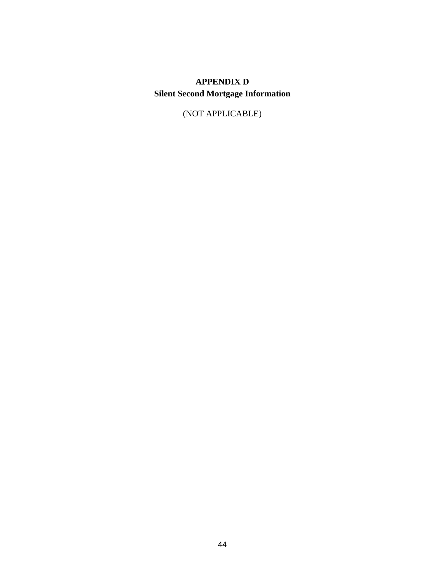# **APPENDIX D Silent Second Mortgage Information**

(NOT APPLICABLE)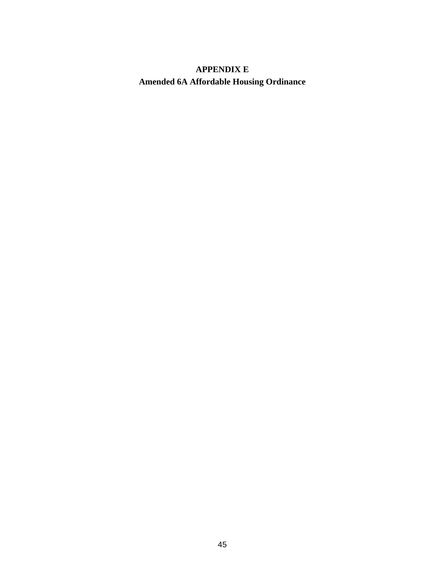# **APPENDIX E Amended 6A Affordable Housing Ordinance**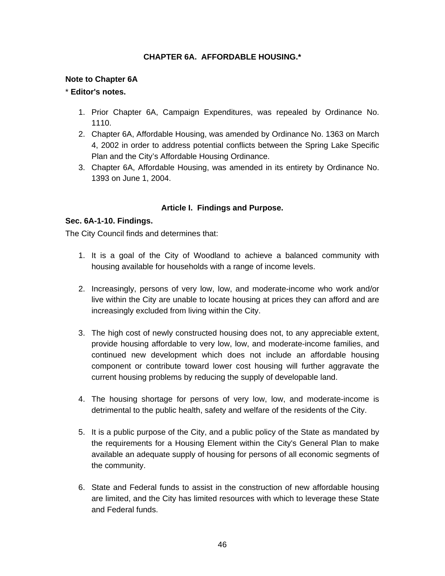### **CHAPTER 6A. AFFORDABLE HOUSING.\***

#### **Note to Chapter 6A**

#### \* **Editor's notes.**

- 1. Prior Chapter 6A, Campaign Expenditures, was repealed by Ordinance No. 1110.
- 2. Chapter 6A, Affordable Housing, was amended by Ordinance No. 1363 on March 4, 2002 in order to address potential conflicts between the Spring Lake Specific Plan and the City's Affordable Housing Ordinance.
- 3. Chapter 6A, Affordable Housing, was amended in its entirety by Ordinance No. 1393 on June 1, 2004.

#### **Article I. Findings and Purpose.**

#### **Sec. 6A-1-10. Findings.**

The City Council finds and determines that:

- 1. It is a goal of the City of Woodland to achieve a balanced community with housing available for households with a range of income levels.
- 2. Increasingly, persons of very low, low, and moderate-income who work and/or live within the City are unable to locate housing at prices they can afford and are increasingly excluded from living within the City.
- 3. The high cost of newly constructed housing does not, to any appreciable extent, provide housing affordable to very low, low, and moderate-income families, and continued new development which does not include an affordable housing component or contribute toward lower cost housing will further aggravate the current housing problems by reducing the supply of developable land.
- 4. The housing shortage for persons of very low, low, and moderate-income is detrimental to the public health, safety and welfare of the residents of the City.
- 5. It is a public purpose of the City, and a public policy of the State as mandated by the requirements for a Housing Element within the City's General Plan to make available an adequate supply of housing for persons of all economic segments of the community.
- 6. State and Federal funds to assist in the construction of new affordable housing are limited, and the City has limited resources with which to leverage these State and Federal funds.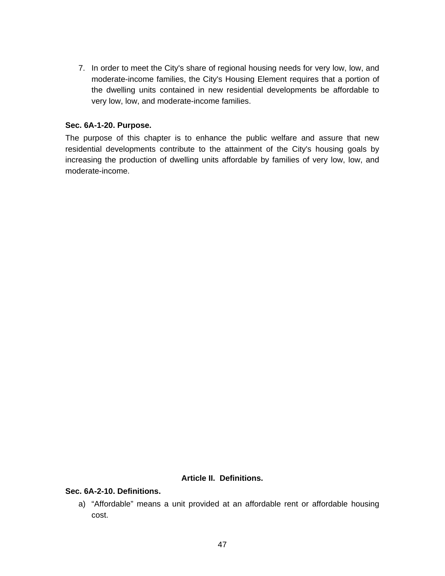7. In order to meet the City's share of regional housing needs for very low, low, and moderate-income families, the City's Housing Element requires that a portion of the dwelling units contained in new residential developments be affordable to very low, low, and moderate-income families.

#### **Sec. 6A-1-20. Purpose.**

The purpose of this chapter is to enhance the public welfare and assure that new residential developments contribute to the attainment of the City's housing goals by increasing the production of dwelling units affordable by families of very low, low, and moderate-income.

#### **Article II. Definitions.**

#### **Sec. 6A-2-10. Definitions.**

a) "Affordable" means a unit provided at an affordable rent or affordable housing cost.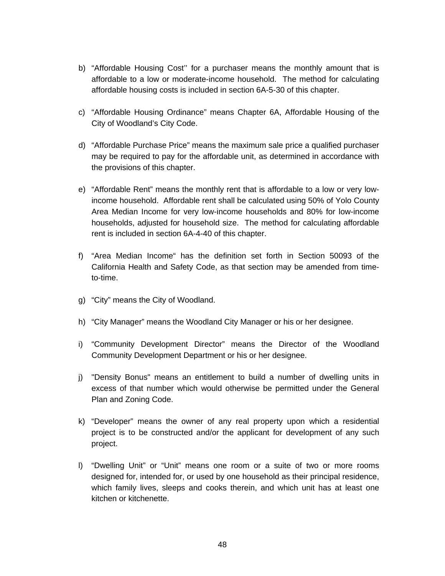- b) "Affordable Housing Cost'' for a purchaser means the monthly amount that is affordable to a low or moderate-income household. The method for calculating affordable housing costs is included in section 6A-5-30 of this chapter.
- c) "Affordable Housing Ordinance" means Chapter 6A, Affordable Housing of the City of Woodland's City Code.
- d) "Affordable Purchase Price" means the maximum sale price a qualified purchaser may be required to pay for the affordable unit, as determined in accordance with the provisions of this chapter.
- e) "Affordable Rent" means the monthly rent that is affordable to a low or very lowincome household. Affordable rent shall be calculated using 50% of Yolo County Area Median Income for very low-income households and 80% for low-income households, adjusted for household size. The method for calculating affordable rent is included in section 6A-4-40 of this chapter.
- f) "Area Median Income" has the definition set forth in Section 50093 of the California Health and Safety Code, as that section may be amended from timeto-time.
- g) "City" means the City of Woodland.
- h) "City Manager" means the Woodland City Manager or his or her designee.
- i) "Community Development Director" means the Director of the Woodland Community Development Department or his or her designee.
- j) "Density Bonus" means an entitlement to build a number of dwelling units in excess of that number which would otherwise be permitted under the General Plan and Zoning Code.
- k) "Developer" means the owner of any real property upon which a residential project is to be constructed and/or the applicant for development of any such project.
- l) "Dwelling Unit" or "Unit" means one room or a suite of two or more rooms designed for, intended for, or used by one household as their principal residence, which family lives, sleeps and cooks therein, and which unit has at least one kitchen or kitchenette.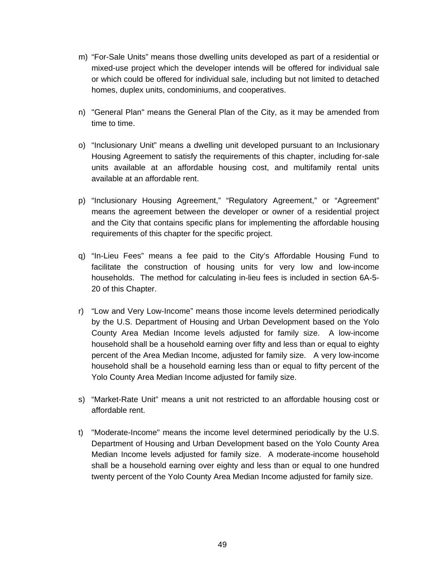- m) "For-Sale Units" means those dwelling units developed as part of a residential or mixed-use project which the developer intends will be offered for individual sale or which could be offered for individual sale, including but not limited to detached homes, duplex units, condominiums, and cooperatives.
- n) "General Plan" means the General Plan of the City, as it may be amended from time to time.
- o) "Inclusionary Unit" means a dwelling unit developed pursuant to an Inclusionary Housing Agreement to satisfy the requirements of this chapter, including for-sale units available at an affordable housing cost, and multifamily rental units available at an affordable rent.
- p) "Inclusionary Housing Agreement," "Regulatory Agreement," or "Agreement" means the agreement between the developer or owner of a residential project and the City that contains specific plans for implementing the affordable housing requirements of this chapter for the specific project.
- q) "In-Lieu Fees" means a fee paid to the City's Affordable Housing Fund to facilitate the construction of housing units for very low and low-income households. The method for calculating in-lieu fees is included in section 6A-5- 20 of this Chapter.
- r) "Low and Very Low-Income" means those income levels determined periodically by the U.S. Department of Housing and Urban Development based on the Yolo County Area Median Income levels adjusted for family size. A low-income household shall be a household earning over fifty and less than or equal to eighty percent of the Area Median Income, adjusted for family size. A very low-income household shall be a household earning less than or equal to fifty percent of the Yolo County Area Median Income adjusted for family size.
- s) "Market-Rate Unit" means a unit not restricted to an affordable housing cost or affordable rent.
- t) "Moderate-Income" means the income level determined periodically by the U.S. Department of Housing and Urban Development based on the Yolo County Area Median Income levels adjusted for family size. A moderate-income household shall be a household earning over eighty and less than or equal to one hundred twenty percent of the Yolo County Area Median Income adjusted for family size.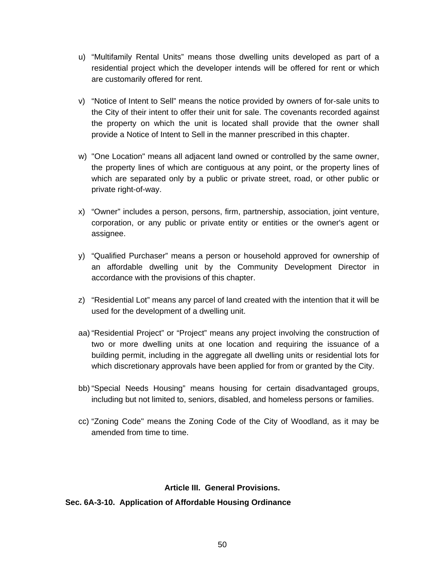- u) "Multifamily Rental Units" means those dwelling units developed as part of a residential project which the developer intends will be offered for rent or which are customarily offered for rent.
- v) "Notice of Intent to Sell" means the notice provided by owners of for-sale units to the City of their intent to offer their unit for sale. The covenants recorded against the property on which the unit is located shall provide that the owner shall provide a Notice of Intent to Sell in the manner prescribed in this chapter.
- w) "One Location" means all adjacent land owned or controlled by the same owner, the property lines of which are contiguous at any point, or the property lines of which are separated only by a public or private street, road, or other public or private right-of-way.
- x) "Owner" includes a person, persons, firm, partnership, association, joint venture, corporation, or any public or private entity or entities or the owner's agent or assignee.
- y) "Qualified Purchaser" means a person or household approved for ownership of an affordable dwelling unit by the Community Development Director in accordance with the provisions of this chapter.
- z) "Residential Lot" means any parcel of land created with the intention that it will be used for the development of a dwelling unit.
- aa) "Residential Project" or "Project" means any project involving the construction of two or more dwelling units at one location and requiring the issuance of a building permit, including in the aggregate all dwelling units or residential lots for which discretionary approvals have been applied for from or granted by the City.
- bb) "Special Needs Housing" means housing for certain disadvantaged groups, including but not limited to, seniors, disabled, and homeless persons or families.
- cc) "Zoning Code" means the Zoning Code of the City of Woodland, as it may be amended from time to time.

### **Article III. General Provisions.**

#### **Sec. 6A-3-10. Application of Affordable Housing Ordinance**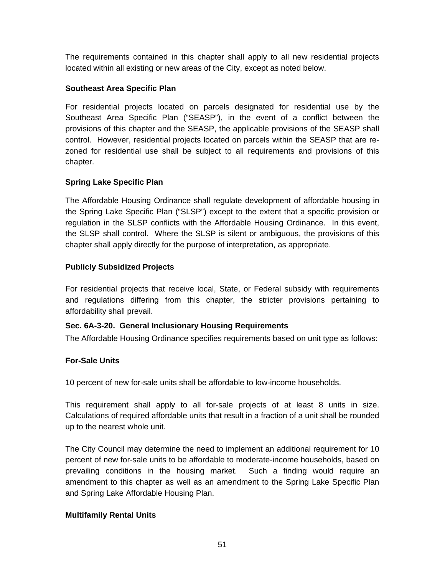The requirements contained in this chapter shall apply to all new residential projects located within all existing or new areas of the City, except as noted below.

### **Southeast Area Specific Plan**

For residential projects located on parcels designated for residential use by the Southeast Area Specific Plan ("SEASP"), in the event of a conflict between the provisions of this chapter and the SEASP, the applicable provisions of the SEASP shall control. However, residential projects located on parcels within the SEASP that are rezoned for residential use shall be subject to all requirements and provisions of this chapter.

### **Spring Lake Specific Plan**

The Affordable Housing Ordinance shall regulate development of affordable housing in the Spring Lake Specific Plan ("SLSP") except to the extent that a specific provision or regulation in the SLSP conflicts with the Affordable Housing Ordinance. In this event, the SLSP shall control. Where the SLSP is silent or ambiguous, the provisions of this chapter shall apply directly for the purpose of interpretation, as appropriate.

### **Publicly Subsidized Projects**

For residential projects that receive local, State, or Federal subsidy with requirements and regulations differing from this chapter, the stricter provisions pertaining to affordability shall prevail.

### **Sec. 6A-3-20. General Inclusionary Housing Requirements**

The Affordable Housing Ordinance specifies requirements based on unit type as follows:

### **For-Sale Units**

10 percent of new for-sale units shall be affordable to low-income households.

This requirement shall apply to all for-sale projects of at least 8 units in size. Calculations of required affordable units that result in a fraction of a unit shall be rounded up to the nearest whole unit.

The City Council may determine the need to implement an additional requirement for 10 percent of new for-sale units to be affordable to moderate-income households, based on prevailing conditions in the housing market. Such a finding would require an amendment to this chapter as well as an amendment to the Spring Lake Specific Plan and Spring Lake Affordable Housing Plan.

### **Multifamily Rental Units**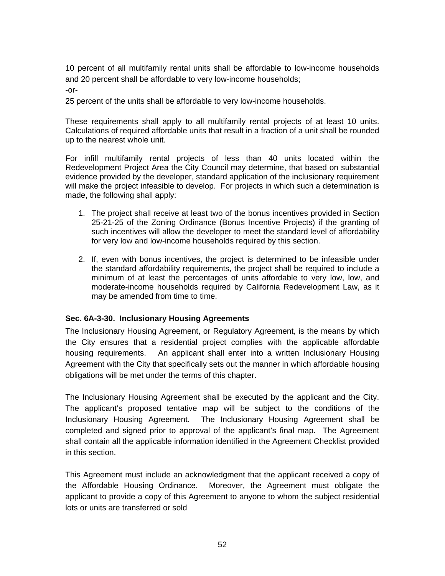10 percent of all multifamily rental units shall be affordable to low-income households and 20 percent shall be affordable to very low-income households;

-or-

25 percent of the units shall be affordable to very low-income households.

These requirements shall apply to all multifamily rental projects of at least 10 units. Calculations of required affordable units that result in a fraction of a unit shall be rounded up to the nearest whole unit.

For infill multifamily rental projects of less than 40 units located within the Redevelopment Project Area the City Council may determine, that based on substantial evidence provided by the developer, standard application of the inclusionary requirement will make the project infeasible to develop. For projects in which such a determination is made, the following shall apply:

- 1. The project shall receive at least two of the bonus incentives provided in Section 25-21-25 of the Zoning Ordinance (Bonus Incentive Projects) if the granting of such incentives will allow the developer to meet the standard level of affordability for very low and low-income households required by this section.
- 2. If, even with bonus incentives, the project is determined to be infeasible under the standard affordability requirements, the project shall be required to include a minimum of at least the percentages of units affordable to very low, low, and moderate-income households required by California Redevelopment Law, as it may be amended from time to time.

#### **Sec. 6A-3-30. Inclusionary Housing Agreements**

The Inclusionary Housing Agreement, or Regulatory Agreement, is the means by which the City ensures that a residential project complies with the applicable affordable housing requirements. An applicant shall enter into a written Inclusionary Housing Agreement with the City that specifically sets out the manner in which affordable housing obligations will be met under the terms of this chapter.

The Inclusionary Housing Agreement shall be executed by the applicant and the City. The applicant's proposed tentative map will be subject to the conditions of the Inclusionary Housing Agreement. The Inclusionary Housing Agreement shall be completed and signed prior to approval of the applicant's final map. The Agreement shall contain all the applicable information identified in the Agreement Checklist provided in this section.

This Agreement must include an acknowledgment that the applicant received a copy of the Affordable Housing Ordinance. Moreover, the Agreement must obligate the applicant to provide a copy of this Agreement to anyone to whom the subject residential lots or units are transferred or sold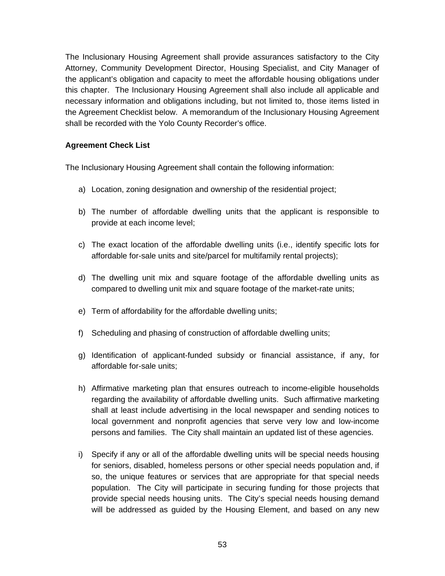The Inclusionary Housing Agreement shall provide assurances satisfactory to the City Attorney, Community Development Director, Housing Specialist, and City Manager of the applicant's obligation and capacity to meet the affordable housing obligations under this chapter. The Inclusionary Housing Agreement shall also include all applicable and necessary information and obligations including, but not limited to, those items listed in the Agreement Checklist below. A memorandum of the Inclusionary Housing Agreement shall be recorded with the Yolo County Recorder's office.

### **Agreement Check List**

The Inclusionary Housing Agreement shall contain the following information:

- a) Location, zoning designation and ownership of the residential project;
- b) The number of affordable dwelling units that the applicant is responsible to provide at each income level;
- c) The exact location of the affordable dwelling units (i.e., identify specific lots for affordable for-sale units and site/parcel for multifamily rental projects);
- d) The dwelling unit mix and square footage of the affordable dwelling units as compared to dwelling unit mix and square footage of the market-rate units;
- e) Term of affordability for the affordable dwelling units;
- f) Scheduling and phasing of construction of affordable dwelling units;
- g) Identification of applicant-funded subsidy or financial assistance, if any, for affordable for-sale units;
- h) Affirmative marketing plan that ensures outreach to income-eligible households regarding the availability of affordable dwelling units. Such affirmative marketing shall at least include advertising in the local newspaper and sending notices to local government and nonprofit agencies that serve very low and low-income persons and families. The City shall maintain an updated list of these agencies.
- i) Specify if any or all of the affordable dwelling units will be special needs housing for seniors, disabled, homeless persons or other special needs population and, if so, the unique features or services that are appropriate for that special needs population. The City will participate in securing funding for those projects that provide special needs housing units. The City's special needs housing demand will be addressed as guided by the Housing Element, and based on any new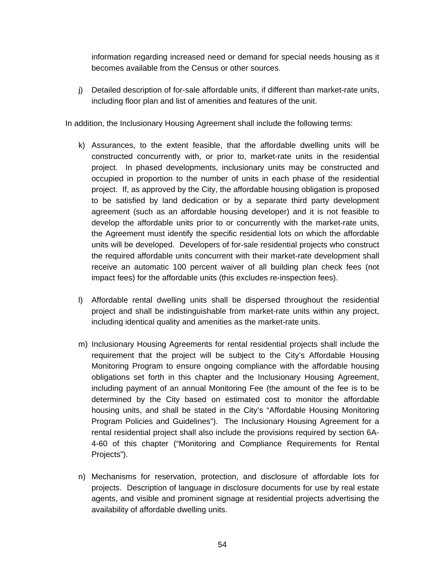information regarding increased need or demand for special needs housing as it becomes available from the Census or other sources.

j) Detailed description of for-sale affordable units, if different than market-rate units, including floor plan and list of amenities and features of the unit.

In addition, the Inclusionary Housing Agreement shall include the following terms:

- k) Assurances, to the extent feasible, that the affordable dwelling units will be constructed concurrently with, or prior to, market-rate units in the residential project. In phased developments, inclusionary units may be constructed and occupied in proportion to the number of units in each phase of the residential project. If, as approved by the City, the affordable housing obligation is proposed to be satisfied by land dedication or by a separate third party development agreement (such as an affordable housing developer) and it is not feasible to develop the affordable units prior to or concurrently with the market-rate units, the Agreement must identify the specific residential lots on which the affordable units will be developed. Developers of for-sale residential projects who construct the required affordable units concurrent with their market-rate development shall receive an automatic 100 percent waiver of all building plan check fees (not impact fees) for the affordable units (this excludes re-inspection fees).
- l) Affordable rental dwelling units shall be dispersed throughout the residential project and shall be indistinguishable from market-rate units within any project, including identical quality and amenities as the market-rate units.
- m) Inclusionary Housing Agreements for rental residential projects shall include the requirement that the project will be subject to the City's Affordable Housing Monitoring Program to ensure ongoing compliance with the affordable housing obligations set forth in this chapter and the Inclusionary Housing Agreement, including payment of an annual Monitoring Fee (the amount of the fee is to be determined by the City based on estimated cost to monitor the affordable housing units, and shall be stated in the City's "Affordable Housing Monitoring Program Policies and Guidelines"). The Inclusionary Housing Agreement for a rental residential project shall also include the provisions required by section 6A-4-60 of this chapter ("Monitoring and Compliance Requirements for Rental Projects").
- n) Mechanisms for reservation, protection, and disclosure of affordable lots for projects. Description of language in disclosure documents for use by real estate agents, and visible and prominent signage at residential projects advertising the availability of affordable dwelling units.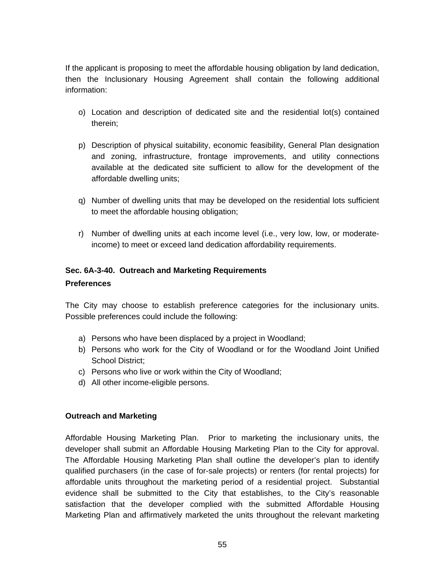If the applicant is proposing to meet the affordable housing obligation by land dedication, then the Inclusionary Housing Agreement shall contain the following additional information:

- o) Location and description of dedicated site and the residential lot(s) contained therein;
- p) Description of physical suitability, economic feasibility, General Plan designation and zoning, infrastructure, frontage improvements, and utility connections available at the dedicated site sufficient to allow for the development of the affordable dwelling units;
- q) Number of dwelling units that may be developed on the residential lots sufficient to meet the affordable housing obligation;
- r) Number of dwelling units at each income level (i.e., very low, low, or moderateincome) to meet or exceed land dedication affordability requirements.

### **Sec. 6A-3-40. Outreach and Marketing Requirements**

#### **Preferences**

The City may choose to establish preference categories for the inclusionary units. Possible preferences could include the following:

- a) Persons who have been displaced by a project in Woodland;
- b) Persons who work for the City of Woodland or for the Woodland Joint Unified School District;
- c) Persons who live or work within the City of Woodland;
- d) All other income-eligible persons.

#### **Outreach and Marketing**

Affordable Housing Marketing Plan. Prior to marketing the inclusionary units, the developer shall submit an Affordable Housing Marketing Plan to the City for approval. The Affordable Housing Marketing Plan shall outline the developer's plan to identify qualified purchasers (in the case of for-sale projects) or renters (for rental projects) for affordable units throughout the marketing period of a residential project. Substantial evidence shall be submitted to the City that establishes, to the City's reasonable satisfaction that the developer complied with the submitted Affordable Housing Marketing Plan and affirmatively marketed the units throughout the relevant marketing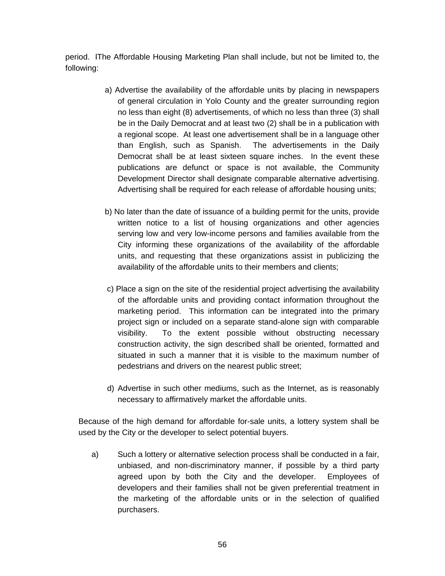period. lThe Affordable Housing Marketing Plan shall include, but not be limited to, the following:

- a) Advertise the availability of the affordable units by placing in newspapers of general circulation in Yolo County and the greater surrounding region no less than eight (8) advertisements, of which no less than three (3) shall be in the Daily Democrat and at least two (2) shall be in a publication with a regional scope. At least one advertisement shall be in a language other than English, such as Spanish. The advertisements in the Daily Democrat shall be at least sixteen square inches. In the event these publications are defunct or space is not available, the Community Development Director shall designate comparable alternative advertising. Advertising shall be required for each release of affordable housing units;
- b) No later than the date of issuance of a building permit for the units, provide written notice to a list of housing organizations and other agencies serving low and very low-income persons and families available from the City informing these organizations of the availability of the affordable units, and requesting that these organizations assist in publicizing the availability of the affordable units to their members and clients;
- c) Place a sign on the site of the residential project advertising the availability of the affordable units and providing contact information throughout the marketing period. This information can be integrated into the primary project sign or included on a separate stand-alone sign with comparable visibility. To the extent possible without obstructing necessary construction activity, the sign described shall be oriented, formatted and situated in such a manner that it is visible to the maximum number of pedestrians and drivers on the nearest public street;
- d) Advertise in such other mediums, such as the Internet, as is reasonably necessary to affirmatively market the affordable units.

Because of the high demand for affordable for-sale units, a lottery system shall be used by the City or the developer to select potential buyers.

a) Such a lottery or alternative selection process shall be conducted in a fair, unbiased, and non-discriminatory manner, if possible by a third party agreed upon by both the City and the developer. Employees of developers and their families shall not be given preferential treatment in the marketing of the affordable units or in the selection of qualified purchasers.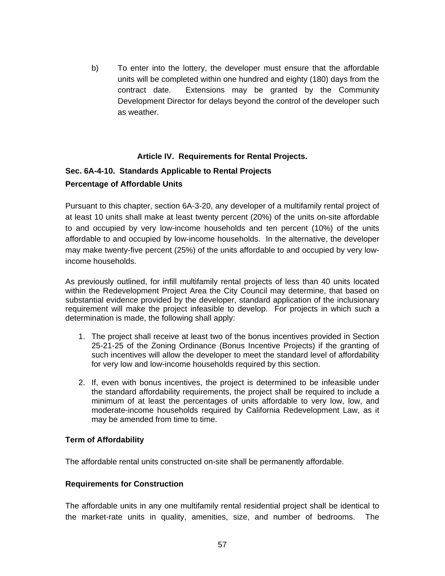b) To enter into the lottery, the developer must ensure that the affordable units will be completed within one hundred and eighty (180) days from the contract date. Extensions may be granted by the Community Development Director for delays beyond the control of the developer such as weather.

### **Article IV. Requirements for Rental Projects.**

### **Sec. 6A-4-10. Standards Applicable to Rental Projects Percentage of Affordable Units**

Pursuant to this chapter, section 6A-3-20, any developer of a multifamily rental project of at least 10 units shall make at least twenty percent (20%) of the units on-site affordable to and occupied by very low-income households and ten percent (10%) of the units affordable to and occupied by low-income households. In the alternative, the developer may make twenty-five percent (25%) of the units affordable to and occupied by very lowincome households.

As previously outlined, for infill multifamily rental projects of less than 40 units located within the Redevelopment Project Area the City Council may determine, that based on substantial evidence provided by the developer, standard application of the inclusionary requirement will make the project infeasible to develop. For projects in which such a determination is made, the following shall apply:

- 1. The project shall receive at least two of the bonus incentives provided in Section 25-21-25 of the Zoning Ordinance (Bonus Incentive Projects) if the granting of such incentives will allow the developer to meet the standard level of affordability for very low and low-income households required by this section.
- 2. If, even with bonus incentives, the project is determined to be infeasible under the standard affordability requirements, the project shall be required to include a minimum of at least the percentages of units affordable to very low, low, and moderate-income households required by California Redevelopment Law, as it may be amended from time to time.

#### **Term of Affordability**

The affordable rental units constructed on-site shall be permanently affordable.

#### **Requirements for Construction**

The affordable units in any one multifamily rental residential project shall be identical to the market-rate units in quality, amenities, size, and number of bedrooms. The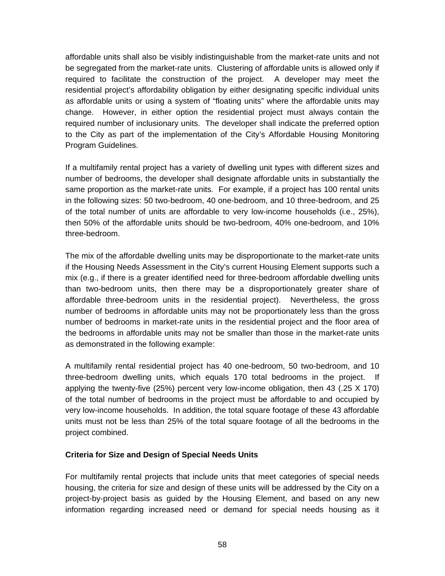affordable units shall also be visibly indistinguishable from the market-rate units and not be segregated from the market-rate units. Clustering of affordable units is allowed only if required to facilitate the construction of the project. A developer may meet the residential project's affordability obligation by either designating specific individual units as affordable units or using a system of "floating units" where the affordable units may change. However, in either option the residential project must always contain the required number of inclusionary units. The developer shall indicate the preferred option to the City as part of the implementation of the City's Affordable Housing Monitoring Program Guidelines.

If a multifamily rental project has a variety of dwelling unit types with different sizes and number of bedrooms, the developer shall designate affordable units in substantially the same proportion as the market-rate units. For example, if a project has 100 rental units in the following sizes: 50 two-bedroom, 40 one-bedroom, and 10 three-bedroom, and 25 of the total number of units are affordable to very low-income households (i.e., 25%), then 50% of the affordable units should be two-bedroom, 40% one-bedroom, and 10% three-bedroom.

The mix of the affordable dwelling units may be disproportionate to the market-rate units if the Housing Needs Assessment in the City's current Housing Element supports such a mix (e.g., if there is a greater identified need for three-bedroom affordable dwelling units than two-bedroom units, then there may be a disproportionately greater share of affordable three-bedroom units in the residential project). Nevertheless, the gross number of bedrooms in affordable units may not be proportionately less than the gross number of bedrooms in market-rate units in the residential project and the floor area of the bedrooms in affordable units may not be smaller than those in the market-rate units as demonstrated in the following example:

A multifamily rental residential project has 40 one-bedroom, 50 two-bedroom, and 10 three-bedroom dwelling units, which equals 170 total bedrooms in the project. If applying the twenty-five (25%) percent very low-income obligation, then 43 (.25 X 170) of the total number of bedrooms in the project must be affordable to and occupied by very low-income households. In addition, the total square footage of these 43 affordable units must not be less than 25% of the total square footage of all the bedrooms in the project combined.

#### **Criteria for Size and Design of Special Needs Units**

For multifamily rental projects that include units that meet categories of special needs housing, the criteria for size and design of these units will be addressed by the City on a project-by-project basis as guided by the Housing Element, and based on any new information regarding increased need or demand for special needs housing as it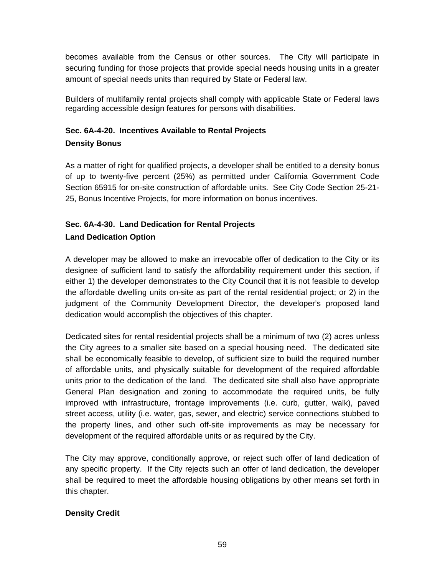becomes available from the Census or other sources. The City will participate in securing funding for those projects that provide special needs housing units in a greater amount of special needs units than required by State or Federal law.

Builders of multifamily rental projects shall comply with applicable State or Federal laws regarding accessible design features for persons with disabilities.

# **Sec. 6A-4-20. Incentives Available to Rental Projects**

**Density Bonus**

As a matter of right for qualified projects, a developer shall be entitled to a density bonus of up to twenty-five percent (25%) as permitted under California Government Code Section 65915 for on-site construction of affordable units. See City Code Section 25-21- 25, Bonus Incentive Projects, for more information on bonus incentives.

### **Sec. 6A-4-30. Land Dedication for Rental Projects Land Dedication Option**

A developer may be allowed to make an irrevocable offer of dedication to the City or its designee of sufficient land to satisfy the affordability requirement under this section, if either 1) the developer demonstrates to the City Council that it is not feasible to develop the affordable dwelling units on-site as part of the rental residential project; or 2) in the judgment of the Community Development Director, the developer's proposed land dedication would accomplish the objectives of this chapter.

Dedicated sites for rental residential projects shall be a minimum of two (2) acres unless the City agrees to a smaller site based on a special housing need. The dedicated site shall be economically feasible to develop, of sufficient size to build the required number of affordable units, and physically suitable for development of the required affordable units prior to the dedication of the land. The dedicated site shall also have appropriate General Plan designation and zoning to accommodate the required units, be fully improved with infrastructure, frontage improvements (i.e. curb, gutter, walk), paved street access, utility (i.e. water, gas, sewer, and electric) service connections stubbed to the property lines, and other such off-site improvements as may be necessary for development of the required affordable units or as required by the City.

The City may approve, conditionally approve, or reject such offer of land dedication of any specific property. If the City rejects such an offer of land dedication, the developer shall be required to meet the affordable housing obligations by other means set forth in this chapter.

### **Density Credit**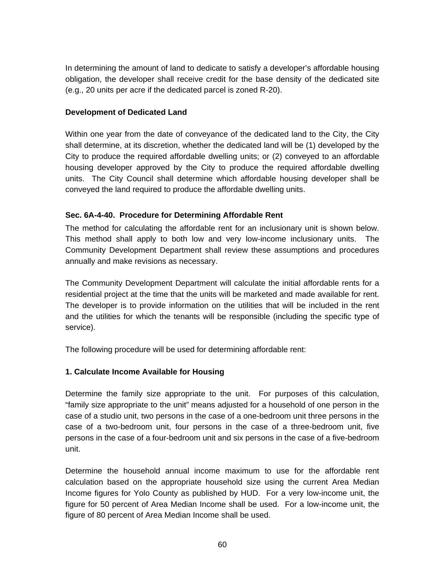In determining the amount of land to dedicate to satisfy a developer's affordable housing obligation, the developer shall receive credit for the base density of the dedicated site (e.g., 20 units per acre if the dedicated parcel is zoned R-20).

### **Development of Dedicated Land**

Within one year from the date of conveyance of the dedicated land to the City, the City shall determine, at its discretion, whether the dedicated land will be (1) developed by the City to produce the required affordable dwelling units; or (2) conveyed to an affordable housing developer approved by the City to produce the required affordable dwelling units. The City Council shall determine which affordable housing developer shall be conveyed the land required to produce the affordable dwelling units.

### **Sec. 6A-4-40. Procedure for Determining Affordable Rent**

The method for calculating the affordable rent for an inclusionary unit is shown below. This method shall apply to both low and very low-income inclusionary units. The Community Development Department shall review these assumptions and procedures annually and make revisions as necessary.

The Community Development Department will calculate the initial affordable rents for a residential project at the time that the units will be marketed and made available for rent. The developer is to provide information on the utilities that will be included in the rent and the utilities for which the tenants will be responsible (including the specific type of service).

The following procedure will be used for determining affordable rent:

### **1. Calculate Income Available for Housing**

Determine the family size appropriate to the unit. For purposes of this calculation, "family size appropriate to the unit" means adjusted for a household of one person in the case of a studio unit, two persons in the case of a one-bedroom unit three persons in the case of a two-bedroom unit, four persons in the case of a three-bedroom unit, five persons in the case of a four-bedroom unit and six persons in the case of a five-bedroom unit.

Determine the household annual income maximum to use for the affordable rent calculation based on the appropriate household size using the current Area Median Income figures for Yolo County as published by HUD. For a very low-income unit, the figure for 50 percent of Area Median Income shall be used. For a low-income unit, the figure of 80 percent of Area Median Income shall be used.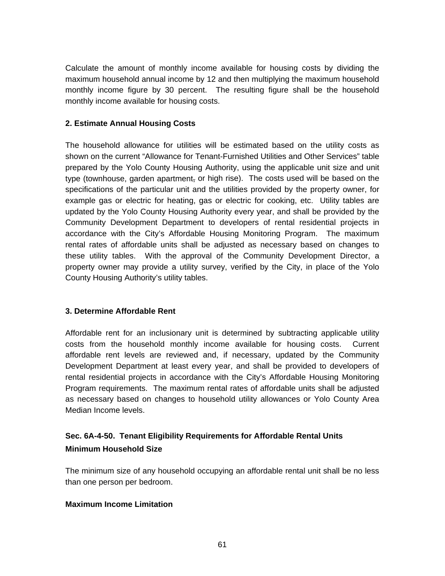Calculate the amount of monthly income available for housing costs by dividing the maximum household annual income by 12 and then multiplying the maximum household monthly income figure by 30 percent. The resulting figure shall be the household monthly income available for housing costs.

#### **2. Estimate Annual Housing Costs**

The household allowance for utilities will be estimated based on the utility costs as shown on the current "Allowance for Tenant-Furnished Utilities and Other Services" table prepared by the Yolo County Housing Authority, using the applicable unit size and unit type (townhouse, garden apartment, or high rise). The costs used will be based on the specifications of the particular unit and the utilities provided by the property owner, for example gas or electric for heating, gas or electric for cooking, etc. Utility tables are updated by the Yolo County Housing Authority every year, and shall be provided by the Community Development Department to developers of rental residential projects in accordance with the City's Affordable Housing Monitoring Program. The maximum rental rates of affordable units shall be adjusted as necessary based on changes to these utility tables. With the approval of the Community Development Director, a property owner may provide a utility survey, verified by the City, in place of the Yolo County Housing Authority's utility tables.

#### **3. Determine Affordable Rent**

Affordable rent for an inclusionary unit is determined by subtracting applicable utility costs from the household monthly income available for housing costs. Current affordable rent levels are reviewed and, if necessary, updated by the Community Development Department at least every year, and shall be provided to developers of rental residential projects in accordance with the City's Affordable Housing Monitoring Program requirements. The maximum rental rates of affordable units shall be adjusted as necessary based on changes to household utility allowances or Yolo County Area Median Income levels.

### **Sec. 6A-4-50. Tenant Eligibility Requirements for Affordable Rental Units Minimum Household Size**

The minimum size of any household occupying an affordable rental unit shall be no less than one person per bedroom.

#### **Maximum Income Limitation**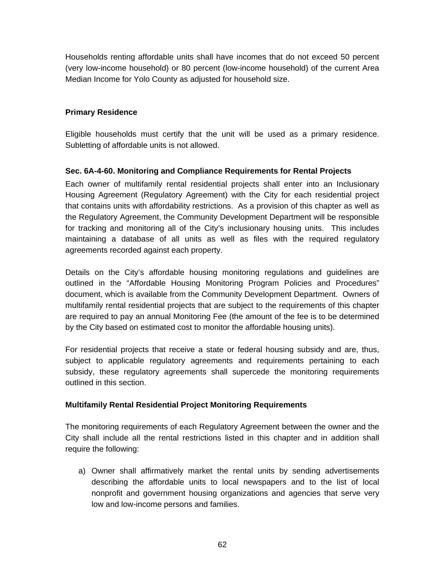Households renting affordable units shall have incomes that do not exceed 50 percent (very low-income household) or 80 percent (low-income household) of the current Area Median Income for Yolo County as adjusted for household size.

### **Primary Residence**

Eligible households must certify that the unit will be used as a primary residence. Subletting of affordable units is not allowed.

### **Sec. 6A-4-60. Monitoring and Compliance Requirements for Rental Projects**

Each owner of multifamily rental residential projects shall enter into an Inclusionary Housing Agreement (Regulatory Agreement) with the City for each residential project that contains units with affordability restrictions. As a provision of this chapter as well as the Regulatory Agreement, the Community Development Department will be responsible for tracking and monitoring all of the City's inclusionary housing units. This includes maintaining a database of all units as well as files with the required regulatory agreements recorded against each property.

Details on the City's affordable housing monitoring regulations and guidelines are outlined in the "Affordable Housing Monitoring Program Policies and Procedures" document, which is available from the Community Development Department. Owners of multifamily rental residential projects that are subject to the requirements of this chapter are required to pay an annual Monitoring Fee (the amount of the fee is to be determined by the City based on estimated cost to monitor the affordable housing units).

For residential projects that receive a state or federal housing subsidy and are, thus, subject to applicable regulatory agreements and requirements pertaining to each subsidy, these regulatory agreements shall supercede the monitoring requirements outlined in this section.

### **Multifamily Rental Residential Project Monitoring Requirements**

The monitoring requirements of each Regulatory Agreement between the owner and the City shall include all the rental restrictions listed in this chapter and in addition shall require the following:

a) Owner shall affirmatively market the rental units by sending advertisements describing the affordable units to local newspapers and to the list of local nonprofit and government housing organizations and agencies that serve very low and low-income persons and families.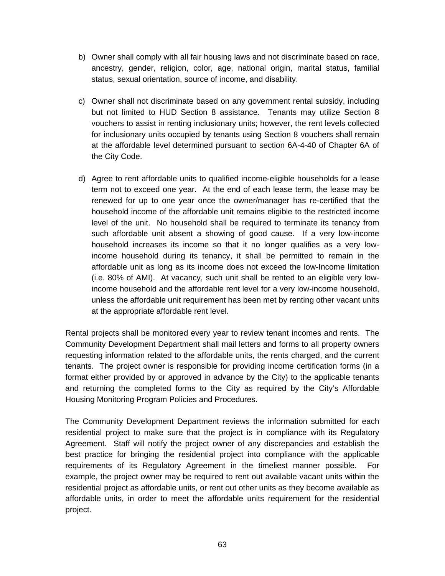- b) Owner shall comply with all fair housing laws and not discriminate based on race, ancestry, gender, religion, color, age, national origin, marital status, familial status, sexual orientation, source of income, and disability.
- c) Owner shall not discriminate based on any government rental subsidy, including but not limited to HUD Section 8 assistance. Tenants may utilize Section 8 vouchers to assist in renting inclusionary units; however, the rent levels collected for inclusionary units occupied by tenants using Section 8 vouchers shall remain at the affordable level determined pursuant to section 6A-4-40 of Chapter 6A of the City Code.
- d) Agree to rent affordable units to qualified income-eligible households for a lease term not to exceed one year. At the end of each lease term, the lease may be renewed for up to one year once the owner/manager has re-certified that the household income of the affordable unit remains eligible to the restricted income level of the unit. No household shall be required to terminate its tenancy from such affordable unit absent a showing of good cause. If a very low-income household increases its income so that it no longer qualifies as a very lowincome household during its tenancy, it shall be permitted to remain in the affordable unit as long as its income does not exceed the low-Income limitation (i.e. 80% of AMI). At vacancy, such unit shall be rented to an eligible very lowincome household and the affordable rent level for a very low-income household, unless the affordable unit requirement has been met by renting other vacant units at the appropriate affordable rent level.

Rental projects shall be monitored every year to review tenant incomes and rents. The Community Development Department shall mail letters and forms to all property owners requesting information related to the affordable units, the rents charged, and the current tenants. The project owner is responsible for providing income certification forms (in a format either provided by or approved in advance by the City) to the applicable tenants and returning the completed forms to the City as required by the City's Affordable Housing Monitoring Program Policies and Procedures.

The Community Development Department reviews the information submitted for each residential project to make sure that the project is in compliance with its Regulatory Agreement. Staff will notify the project owner of any discrepancies and establish the best practice for bringing the residential project into compliance with the applicable requirements of its Regulatory Agreement in the timeliest manner possible. For example, the project owner may be required to rent out available vacant units within the residential project as affordable units, or rent out other units as they become available as affordable units, in order to meet the affordable units requirement for the residential project.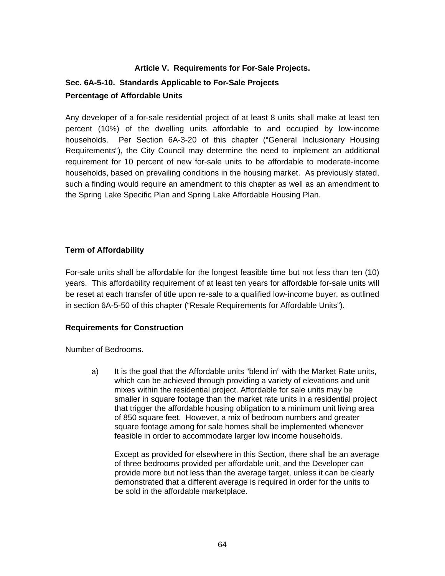### **Article V. Requirements for For-Sale Projects.**

### **Sec. 6A-5-10. Standards Applicable to For-Sale Projects Percentage of Affordable Units**

Any developer of a for-sale residential project of at least 8 units shall make at least ten percent (10%) of the dwelling units affordable to and occupied by low-income households. Per Section 6A-3-20 of this chapter ("General Inclusionary Housing Requirements"), the City Council may determine the need to implement an additional requirement for 10 percent of new for-sale units to be affordable to moderate-income households, based on prevailing conditions in the housing market. As previously stated, such a finding would require an amendment to this chapter as well as an amendment to the Spring Lake Specific Plan and Spring Lake Affordable Housing Plan.

### **Term of Affordability**

For-sale units shall be affordable for the longest feasible time but not less than ten (10) years. This affordability requirement of at least ten years for affordable for-sale units will be reset at each transfer of title upon re-sale to a qualified low-income buyer, as outlined in section 6A-5-50 of this chapter ("Resale Requirements for Affordable Units").

#### **Requirements for Construction**

Number of Bedrooms.

a) It is the goal that the Affordable units "blend in" with the Market Rate units, which can be achieved through providing a variety of elevations and unit mixes within the residential project. Affordable for sale units may be smaller in square footage than the market rate units in a residential project that trigger the affordable housing obligation to a minimum unit living area of 850 square feet. However, a mix of bedroom numbers and greater square footage among for sale homes shall be implemented whenever feasible in order to accommodate larger low income households.

Except as provided for elsewhere in this Section, there shall be an average of three bedrooms provided per affordable unit, and the Developer can provide more but not less than the average target, unless it can be clearly demonstrated that a different average is required in order for the units to be sold in the affordable marketplace.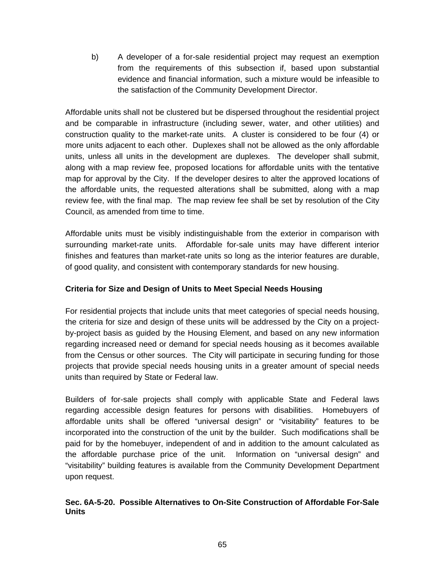b) A developer of a for-sale residential project may request an exemption from the requirements of this subsection if, based upon substantial evidence and financial information, such a mixture would be infeasible to the satisfaction of the Community Development Director.

Affordable units shall not be clustered but be dispersed throughout the residential project and be comparable in infrastructure (including sewer, water, and other utilities) and construction quality to the market-rate units. A cluster is considered to be four (4) or more units adjacent to each other. Duplexes shall not be allowed as the only affordable units, unless all units in the development are duplexes. The developer shall submit, along with a map review fee, proposed locations for affordable units with the tentative map for approval by the City. If the developer desires to alter the approved locations of the affordable units, the requested alterations shall be submitted, along with a map review fee, with the final map. The map review fee shall be set by resolution of the City Council, as amended from time to time.

Affordable units must be visibly indistinguishable from the exterior in comparison with surrounding market-rate units. Affordable for-sale units may have different interior finishes and features than market-rate units so long as the interior features are durable, of good quality, and consistent with contemporary standards for new housing.

### **Criteria for Size and Design of Units to Meet Special Needs Housing**

For residential projects that include units that meet categories of special needs housing, the criteria for size and design of these units will be addressed by the City on a projectby-project basis as guided by the Housing Element, and based on any new information regarding increased need or demand for special needs housing as it becomes available from the Census or other sources. The City will participate in securing funding for those projects that provide special needs housing units in a greater amount of special needs units than required by State or Federal law.

Builders of for-sale projects shall comply with applicable State and Federal laws regarding accessible design features for persons with disabilities. Homebuyers of affordable units shall be offered "universal design" or "visitability" features to be incorporated into the construction of the unit by the builder. Such modifications shall be paid for by the homebuyer, independent of and in addition to the amount calculated as the affordable purchase price of the unit. Information on "universal design" and "visitability" building features is available from the Community Development Department upon request.

### **Sec. 6A-5-20. Possible Alternatives to On-Site Construction of Affordable For-Sale Units**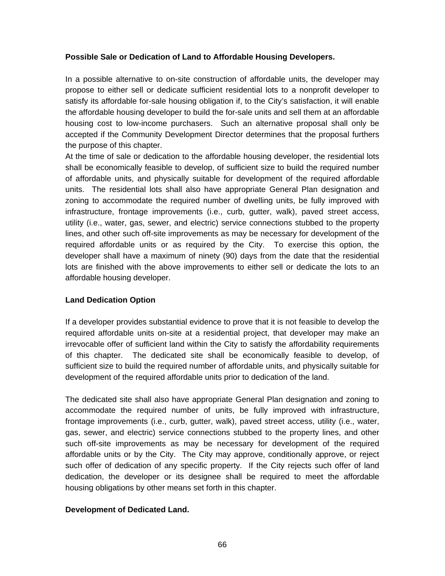#### **Possible Sale or Dedication of Land to Affordable Housing Developers.**

In a possible alternative to on-site construction of affordable units, the developer may propose to either sell or dedicate sufficient residential lots to a nonprofit developer to satisfy its affordable for-sale housing obligation if, to the City's satisfaction, it will enable the affordable housing developer to build the for-sale units and sell them at an affordable housing cost to low-income purchasers. Such an alternative proposal shall only be accepted if the Community Development Director determines that the proposal furthers the purpose of this chapter.

At the time of sale or dedication to the affordable housing developer, the residential lots shall be economically feasible to develop, of sufficient size to build the required number of affordable units, and physically suitable for development of the required affordable units. The residential lots shall also have appropriate General Plan designation and zoning to accommodate the required number of dwelling units, be fully improved with infrastructure, frontage improvements (i.e., curb, gutter, walk), paved street access, utility (i.e., water, gas, sewer, and electric) service connections stubbed to the property lines, and other such off-site improvements as may be necessary for development of the required affordable units or as required by the City. To exercise this option, the developer shall have a maximum of ninety (90) days from the date that the residential lots are finished with the above improvements to either sell or dedicate the lots to an affordable housing developer.

### **Land Dedication Option**

If a developer provides substantial evidence to prove that it is not feasible to develop the required affordable units on-site at a residential project, that developer may make an irrevocable offer of sufficient land within the City to satisfy the affordability requirements of this chapter. The dedicated site shall be economically feasible to develop, of sufficient size to build the required number of affordable units, and physically suitable for development of the required affordable units prior to dedication of the land.

The dedicated site shall also have appropriate General Plan designation and zoning to accommodate the required number of units, be fully improved with infrastructure, frontage improvements (i.e., curb, gutter, walk), paved street access, utility (i.e., water, gas, sewer, and electric) service connections stubbed to the property lines, and other such off-site improvements as may be necessary for development of the required affordable units or by the City. The City may approve, conditionally approve, or reject such offer of dedication of any specific property. If the City rejects such offer of land dedication, the developer or its designee shall be required to meet the affordable housing obligations by other means set forth in this chapter.

### **Development of Dedicated Land.**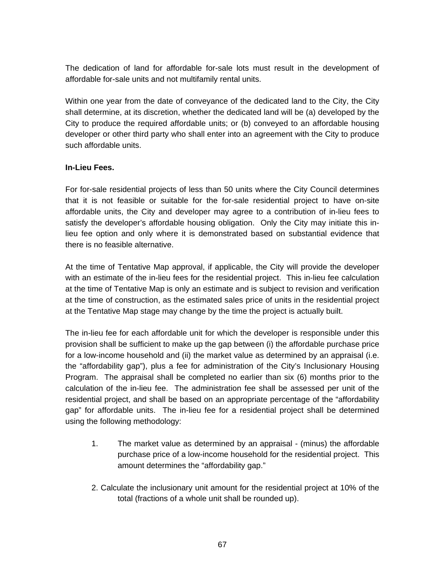The dedication of land for affordable for-sale lots must result in the development of affordable for-sale units and not multifamily rental units.

Within one year from the date of conveyance of the dedicated land to the City, the City shall determine, at its discretion, whether the dedicated land will be (a) developed by the City to produce the required affordable units; or (b) conveyed to an affordable housing developer or other third party who shall enter into an agreement with the City to produce such affordable units.

### **In-Lieu Fees.**

For for-sale residential projects of less than 50 units where the City Council determines that it is not feasible or suitable for the for-sale residential project to have on-site affordable units, the City and developer may agree to a contribution of in-lieu fees to satisfy the developer's affordable housing obligation. Only the City may initiate this inlieu fee option and only where it is demonstrated based on substantial evidence that there is no feasible alternative.

At the time of Tentative Map approval, if applicable, the City will provide the developer with an estimate of the in-lieu fees for the residential project. This in-lieu fee calculation at the time of Tentative Map is only an estimate and is subject to revision and verification at the time of construction, as the estimated sales price of units in the residential project at the Tentative Map stage may change by the time the project is actually built.

The in-lieu fee for each affordable unit for which the developer is responsible under this provision shall be sufficient to make up the gap between (i) the affordable purchase price for a low-income household and (ii) the market value as determined by an appraisal (i.e. the "affordability gap"), plus a fee for administration of the City's Inclusionary Housing Program. The appraisal shall be completed no earlier than six (6) months prior to the calculation of the in-lieu fee. The administration fee shall be assessed per unit of the residential project, and shall be based on an appropriate percentage of the "affordability gap" for affordable units. The in-lieu fee for a residential project shall be determined using the following methodology:

- 1. The market value as determined by an appraisal (minus) the affordable purchase price of a low-income household for the residential project. This amount determines the "affordability gap."
- 2. Calculate the inclusionary unit amount for the residential project at 10% of the total (fractions of a whole unit shall be rounded up).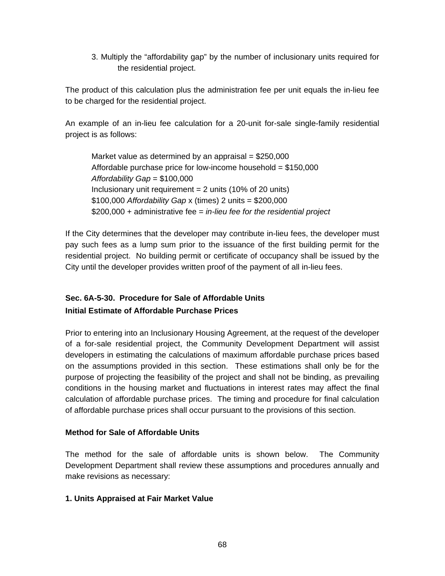3. Multiply the "affordability gap" by the number of inclusionary units required for the residential project.

The product of this calculation plus the administration fee per unit equals the in-lieu fee to be charged for the residential project.

An example of an in-lieu fee calculation for a 20-unit for-sale single-family residential project is as follows:

Market value as determined by an appraisal =  $$250,000$ Affordable purchase price for low-income household  $= $150,000$ *Affordability Gap* = \$100,000 Inclusionary unit requirement  $= 2$  units (10% of 20 units) \$100,000 *Affordability Gap* x (times) 2 units = \$200,000 \$200,000 + administrative fee = *in-lieu fee for the residential project*

If the City determines that the developer may contribute in-lieu fees, the developer must pay such fees as a lump sum prior to the issuance of the first building permit for the residential project. No building permit or certificate of occupancy shall be issued by the City until the developer provides written proof of the payment of all in-lieu fees.

### **Sec. 6A-5-30. Procedure for Sale of Affordable Units Initial Estimate of Affordable Purchase Prices**

Prior to entering into an Inclusionary Housing Agreement, at the request of the developer of a for-sale residential project, the Community Development Department will assist developers in estimating the calculations of maximum affordable purchase prices based on the assumptions provided in this section. These estimations shall only be for the purpose of projecting the feasibility of the project and shall not be binding, as prevailing conditions in the housing market and fluctuations in interest rates may affect the final calculation of affordable purchase prices. The timing and procedure for final calculation of affordable purchase prices shall occur pursuant to the provisions of this section.

### **Method for Sale of Affordable Units**

The method for the sale of affordable units is shown below. The Community Development Department shall review these assumptions and procedures annually and make revisions as necessary:

### **1. Units Appraised at Fair Market Value**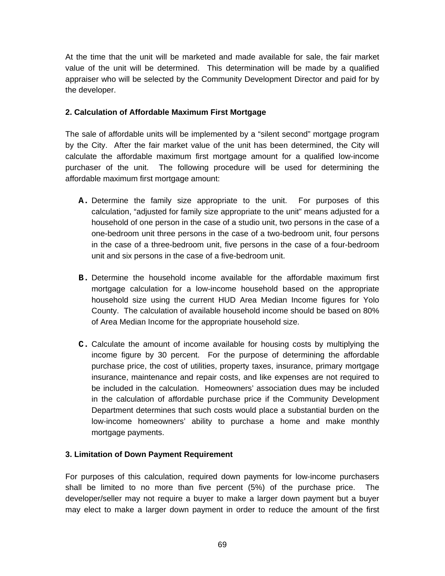At the time that the unit will be marketed and made available for sale, the fair market value of the unit will be determined. This determination will be made by a qualified appraiser who will be selected by the Community Development Director and paid for by the developer.

### **2. Calculation of Affordable Maximum First Mortgage**

The sale of affordable units will be implemented by a "silent second" mortgage program by the City. After the fair market value of the unit has been determined, the City will calculate the affordable maximum first mortgage amount for a qualified low-income purchaser of the unit. The following procedure will be used for determining the affordable maximum first mortgage amount:

- **A.** Determine the family size appropriate to the unit. For purposes of this calculation, "adjusted for family size appropriate to the unit" means adjusted for a household of one person in the case of a studio unit, two persons in the case of a one-bedroom unit three persons in the case of a two-bedroom unit, four persons in the case of a three-bedroom unit, five persons in the case of a four-bedroom unit and six persons in the case of a five-bedroom unit.
- **B.** Determine the household income available for the affordable maximum first mortgage calculation for a low-income household based on the appropriate household size using the current HUD Area Median Income figures for Yolo County. The calculation of available household income should be based on 80% of Area Median Income for the appropriate household size.
- **C.** Calculate the amount of income available for housing costs by multiplying the income figure by 30 percent. For the purpose of determining the affordable purchase price, the cost of utilities, property taxes, insurance, primary mortgage insurance, maintenance and repair costs, and like expenses are not required to be included in the calculation. Homeowners' association dues may be included in the calculation of affordable purchase price if the Community Development Department determines that such costs would place a substantial burden on the low-income homeowners' ability to purchase a home and make monthly mortgage payments.

### **3. Limitation of Down Payment Requirement**

For purposes of this calculation, required down payments for low-income purchasers shall be limited to no more than five percent (5%) of the purchase price. The developer/seller may not require a buyer to make a larger down payment but a buyer may elect to make a larger down payment in order to reduce the amount of the first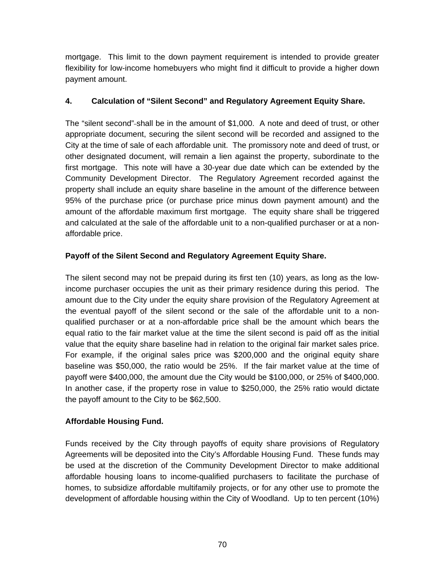mortgage. This limit to the down payment requirement is intended to provide greater flexibility for low-income homebuyers who might find it difficult to provide a higher down payment amount.

### **4. Calculation of "Silent Second" and Regulatory Agreement Equity Share.**

The "silent second"-shall be in the amount of \$1,000. A note and deed of trust, or other appropriate document, securing the silent second will be recorded and assigned to the City at the time of sale of each affordable unit. The promissory note and deed of trust, or other designated document, will remain a lien against the property, subordinate to the first mortgage. This note will have a 30-year due date which can be extended by the Community Development Director. The Regulatory Agreement recorded against the property shall include an equity share baseline in the amount of the difference between 95% of the purchase price (or purchase price minus down payment amount) and the amount of the affordable maximum first mortgage. The equity share shall be triggered and calculated at the sale of the affordable unit to a non-qualified purchaser or at a nonaffordable price.

### **Payoff of the Silent Second and Regulatory Agreement Equity Share.**

The silent second may not be prepaid during its first ten (10) years, as long as the lowincome purchaser occupies the unit as their primary residence during this period. The amount due to the City under the equity share provision of the Regulatory Agreement at the eventual payoff of the silent second or the sale of the affordable unit to a nonqualified purchaser or at a non-affordable price shall be the amount which bears the equal ratio to the fair market value at the time the silent second is paid off as the initial value that the equity share baseline had in relation to the original fair market sales price. For example, if the original sales price was \$200,000 and the original equity share baseline was \$50,000, the ratio would be 25%. If the fair market value at the time of payoff were \$400,000, the amount due the City would be \$100,000, or 25% of \$400,000. In another case, if the property rose in value to \$250,000, the 25% ratio would dictate the payoff amount to the City to be \$62,500.

### **Affordable Housing Fund.**

Funds received by the City through payoffs of equity share provisions of Regulatory Agreements will be deposited into the City's Affordable Housing Fund. These funds may be used at the discretion of the Community Development Director to make additional affordable housing loans to income-qualified purchasers to facilitate the purchase of homes, to subsidize affordable multifamily projects, or for any other use to promote the development of affordable housing within the City of Woodland. Up to ten percent (10%)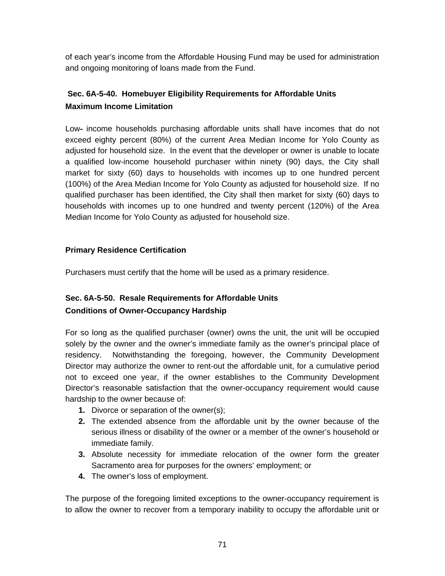of each year's income from the Affordable Housing Fund may be used for administration and ongoing monitoring of loans made from the Fund.

### **Sec. 6A-5-40. Homebuyer Eligibility Requirements for Affordable Units Maximum Income Limitation**

Low- income households purchasing affordable units shall have incomes that do not exceed eighty percent (80%) of the current Area Median Income for Yolo County as adjusted for household size. In the event that the developer or owner is unable to locate a qualified low-income household purchaser within ninety (90) days, the City shall market for sixty (60) days to households with incomes up to one hundred percent (100%) of the Area Median Income for Yolo County as adjusted for household size. If no qualified purchaser has been identified, the City shall then market for sixty (60) days to households with incomes up to one hundred and twenty percent (120%) of the Area Median Income for Yolo County as adjusted for household size.

### **Primary Residence Certification**

Purchasers must certify that the home will be used as a primary residence.

# **Sec. 6A-5-50. Resale Requirements for Affordable Units**

### **Conditions of Owner-Occupancy Hardship**

For so long as the qualified purchaser (owner) owns the unit, the unit will be occupied solely by the owner and the owner's immediate family as the owner's principal place of residency. Notwithstanding the foregoing, however, the Community Development Director may authorize the owner to rent-out the affordable unit, for a cumulative period not to exceed one year, if the owner establishes to the Community Development Director's reasonable satisfaction that the owner-occupancy requirement would cause hardship to the owner because of:

- **1.** Divorce or separation of the owner(s);
- **2.** The extended absence from the affordable unit by the owner because of the serious illness or disability of the owner or a member of the owner's household or immediate family.
- **3.** Absolute necessity for immediate relocation of the owner form the greater Sacramento area for purposes for the owners' employment; or
- **4.** The owner's loss of employment.

The purpose of the foregoing limited exceptions to the owner-occupancy requirement is to allow the owner to recover from a temporary inability to occupy the affordable unit or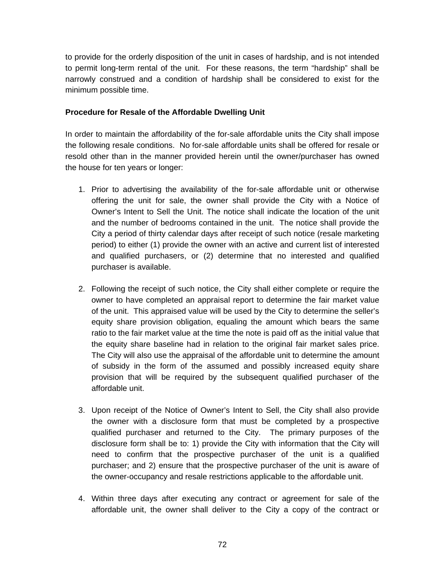to provide for the orderly disposition of the unit in cases of hardship, and is not intended to permit long-term rental of the unit. For these reasons, the term "hardship" shall be narrowly construed and a condition of hardship shall be considered to exist for the minimum possible time.

### **Procedure for Resale of the Affordable Dwelling Unit**

In order to maintain the affordability of the for-sale affordable units the City shall impose the following resale conditions. No for-sale affordable units shall be offered for resale or resold other than in the manner provided herein until the owner/purchaser has owned the house for ten years or longer:

- 1. Prior to advertising the availability of the for-sale affordable unit or otherwise offering the unit for sale, the owner shall provide the City with a Notice of Owner's Intent to Sell the Unit. The notice shall indicate the location of the unit and the number of bedrooms contained in the unit. The notice shall provide the City a period of thirty calendar days after receipt of such notice (resale marketing period) to either (1) provide the owner with an active and current list of interested and qualified purchasers, or (2) determine that no interested and qualified purchaser is available.
- 2. Following the receipt of such notice, the City shall either complete or require the owner to have completed an appraisal report to determine the fair market value of the unit. This appraised value will be used by the City to determine the seller's equity share provision obligation, equaling the amount which bears the same ratio to the fair market value at the time the note is paid off as the initial value that the equity share baseline had in relation to the original fair market sales price. The City will also use the appraisal of the affordable unit to determine the amount of subsidy in the form of the assumed and possibly increased equity share provision that will be required by the subsequent qualified purchaser of the affordable unit.
- 3. Upon receipt of the Notice of Owner's Intent to Sell, the City shall also provide the owner with a disclosure form that must be completed by a prospective qualified purchaser and returned to the City. The primary purposes of the disclosure form shall be to: 1) provide the City with information that the City will need to confirm that the prospective purchaser of the unit is a qualified purchaser; and 2) ensure that the prospective purchaser of the unit is aware of the owner-occupancy and resale restrictions applicable to the affordable unit.
- 4. Within three days after executing any contract or agreement for sale of the affordable unit, the owner shall deliver to the City a copy of the contract or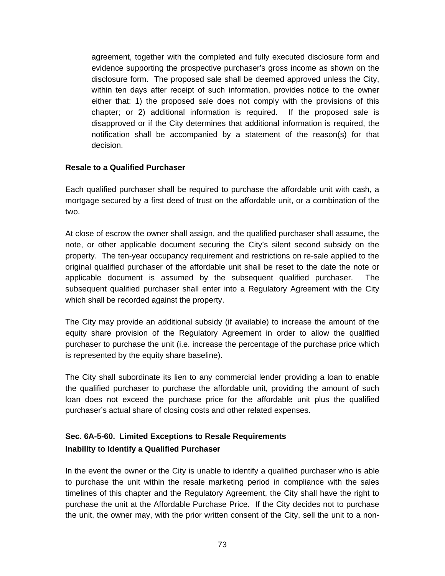agreement, together with the completed and fully executed disclosure form and evidence supporting the prospective purchaser's gross income as shown on the disclosure form. The proposed sale shall be deemed approved unless the City, within ten days after receipt of such information, provides notice to the owner either that: 1) the proposed sale does not comply with the provisions of this chapter; or 2) additional information is required. If the proposed sale is disapproved or if the City determines that additional information is required, the notification shall be accompanied by a statement of the reason(s) for that decision.

### **Resale to a Qualified Purchaser**

Each qualified purchaser shall be required to purchase the affordable unit with cash, a mortgage secured by a first deed of trust on the affordable unit, or a combination of the two.

At close of escrow the owner shall assign, and the qualified purchaser shall assume, the note, or other applicable document securing the City's silent second subsidy on the property. The ten-year occupancy requirement and restrictions on re-sale applied to the original qualified purchaser of the affordable unit shall be reset to the date the note or applicable document is assumed by the subsequent qualified purchaser. The subsequent qualified purchaser shall enter into a Regulatory Agreement with the City which shall be recorded against the property.

The City may provide an additional subsidy (if available) to increase the amount of the equity share provision of the Regulatory Agreement in order to allow the qualified purchaser to purchase the unit (i.e. increase the percentage of the purchase price which is represented by the equity share baseline).

The City shall subordinate its lien to any commercial lender providing a loan to enable the qualified purchaser to purchase the affordable unit, providing the amount of such loan does not exceed the purchase price for the affordable unit plus the qualified purchaser's actual share of closing costs and other related expenses.

# **Sec. 6A-5-60. Limited Exceptions to Resale Requirements Inability to Identify a Qualified Purchaser**

In the event the owner or the City is unable to identify a qualified purchaser who is able to purchase the unit within the resale marketing period in compliance with the sales timelines of this chapter and the Regulatory Agreement, the City shall have the right to purchase the unit at the Affordable Purchase Price. If the City decides not to purchase the unit, the owner may, with the prior written consent of the City, sell the unit to a non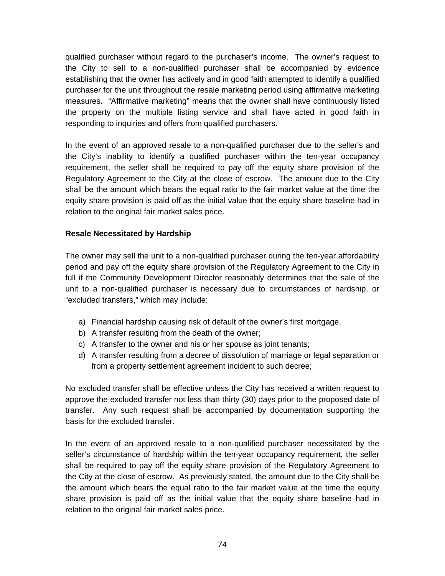qualified purchaser without regard to the purchaser's income. The owner's request to the City to sell to a non-qualified purchaser shall be accompanied by evidence establishing that the owner has actively and in good faith attempted to identify a qualified purchaser for the unit throughout the resale marketing period using affirmative marketing measures. "Affirmative marketing" means that the owner shall have continuously listed the property on the multiple listing service and shall have acted in good faith in responding to inquiries and offers from qualified purchasers.

In the event of an approved resale to a non-qualified purchaser due to the seller's and the City's inability to identify a qualified purchaser within the ten-year occupancy requirement, the seller shall be required to pay off the equity share provision of the Regulatory Agreement to the City at the close of escrow. The amount due to the City shall be the amount which bears the equal ratio to the fair market value at the time the equity share provision is paid off as the initial value that the equity share baseline had in relation to the original fair market sales price.

## **Resale Necessitated by Hardship**

The owner may sell the unit to a non-qualified purchaser during the ten-year affordability period and pay off the equity share provision of the Regulatory Agreement to the City in full if the Community Development Director reasonably determines that the sale of the unit to a non-qualified purchaser is necessary due to circumstances of hardship, or "excluded transfers," which may include:

- a) Financial hardship causing risk of default of the owner's first mortgage.
- b) A transfer resulting from the death of the owner;
- c) A transfer to the owner and his or her spouse as joint tenants;
- d) A transfer resulting from a decree of dissolution of marriage or legal separation or from a property settlement agreement incident to such decree;

No excluded transfer shall be effective unless the City has received a written request to approve the excluded transfer not less than thirty (30) days prior to the proposed date of transfer. Any such request shall be accompanied by documentation supporting the basis for the excluded transfer.

In the event of an approved resale to a non-qualified purchaser necessitated by the seller's circumstance of hardship within the ten-year occupancy requirement, the seller shall be required to pay off the equity share provision of the Regulatory Agreement to the City at the close of escrow. As previously stated, the amount due to the City shall be the amount which bears the equal ratio to the fair market value at the time the equity share provision is paid off as the initial value that the equity share baseline had in relation to the original fair market sales price.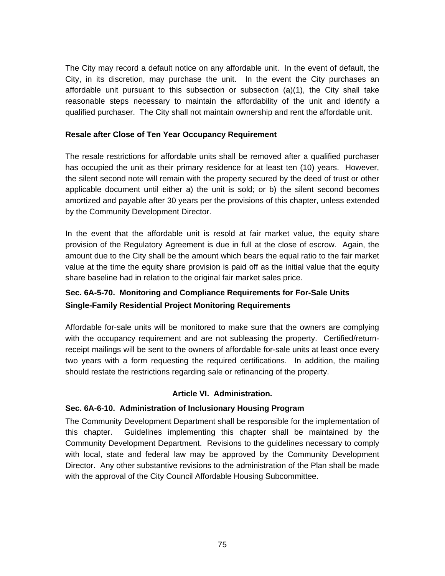The City may record a default notice on any affordable unit. In the event of default, the City, in its discretion, may purchase the unit. In the event the City purchases an affordable unit pursuant to this subsection or subsection (a)(1), the City shall take reasonable steps necessary to maintain the affordability of the unit and identify a qualified purchaser. The City shall not maintain ownership and rent the affordable unit.

### **Resale after Close of Ten Year Occupancy Requirement**

The resale restrictions for affordable units shall be removed after a qualified purchaser has occupied the unit as their primary residence for at least ten (10) years. However, the silent second note will remain with the property secured by the deed of trust or other applicable document until either a) the unit is sold; or b) the silent second becomes amortized and payable after 30 years per the provisions of this chapter, unless extended by the Community Development Director.

In the event that the affordable unit is resold at fair market value, the equity share provision of the Regulatory Agreement is due in full at the close of escrow. Again, the amount due to the City shall be the amount which bears the equal ratio to the fair market value at the time the equity share provision is paid off as the initial value that the equity share baseline had in relation to the original fair market sales price.

# **Sec. 6A-5-70. Monitoring and Compliance Requirements for For-Sale Units Single-Family Residential Project Monitoring Requirements**

Affordable for-sale units will be monitored to make sure that the owners are complying with the occupancy requirement and are not subleasing the property. Certified/returnreceipt mailings will be sent to the owners of affordable for-sale units at least once every two years with a form requesting the required certifications. In addition, the mailing should restate the restrictions regarding sale or refinancing of the property.

## **Article VI. Administration.**

## **Sec. 6A-6-10. Administration of Inclusionary Housing Program**

The Community Development Department shall be responsible for the implementation of this chapter. Guidelines implementing this chapter shall be maintained by the Community Development Department. Revisions to the guidelines necessary to comply with local, state and federal law may be approved by the Community Development Director. Any other substantive revisions to the administration of the Plan shall be made with the approval of the City Council Affordable Housing Subcommittee.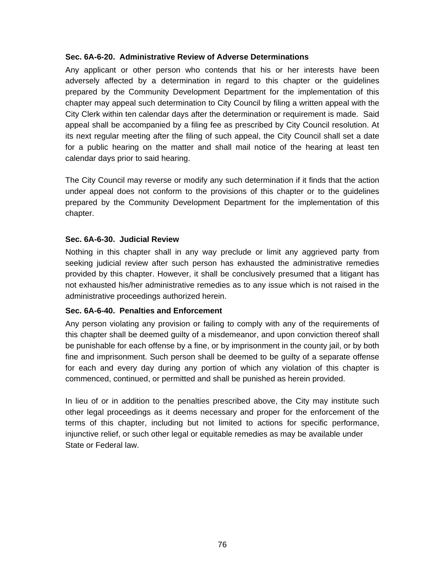#### **Sec. 6A-6-20. Administrative Review of Adverse Determinations**

Any applicant or other person who contends that his or her interests have been adversely affected by a determination in regard to this chapter or the guidelines prepared by the Community Development Department for the implementation of this chapter may appeal such determination to City Council by filing a written appeal with the City Clerk within ten calendar days after the determination or requirement is made. Said appeal shall be accompanied by a filing fee as prescribed by City Council resolution. At its next regular meeting after the filing of such appeal, the City Council shall set a date for a public hearing on the matter and shall mail notice of the hearing at least ten calendar days prior to said hearing.

The City Council may reverse or modify any such determination if it finds that the action under appeal does not conform to the provisions of this chapter or to the guidelines prepared by the Community Development Department for the implementation of this chapter.

#### **Sec. 6A-6-30. Judicial Review**

Nothing in this chapter shall in any way preclude or limit any aggrieved party from seeking judicial review after such person has exhausted the administrative remedies provided by this chapter. However, it shall be conclusively presumed that a litigant has not exhausted his/her administrative remedies as to any issue which is not raised in the administrative proceedings authorized herein.

#### **Sec. 6A-6-40. Penalties and Enforcement**

Any person violating any provision or failing to comply with any of the requirements of this chapter shall be deemed guilty of a misdemeanor, and upon conviction thereof shall be punishable for each offense by a fine, or by imprisonment in the county jail, or by both fine and imprisonment. Such person shall be deemed to be guilty of a separate offense for each and every day during any portion of which any violation of this chapter is commenced, continued, or permitted and shall be punished as herein provided.

In lieu of or in addition to the penalties prescribed above, the City may institute such other legal proceedings as it deems necessary and proper for the enforcement of the terms of this chapter, including but not limited to actions for specific performance, injunctive relief, or such other legal or equitable remedies as may be available under State or Federal law.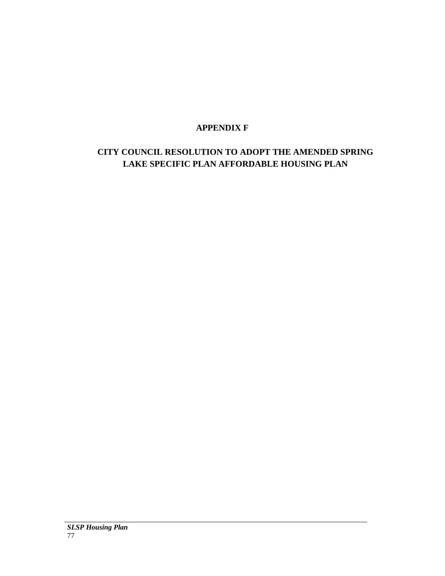# **APPENDIX F**

# **CITY COUNCIL RESOLUTION TO ADOPT THE AMENDED SPRING LAKE SPECIFIC PLAN AFFORDABLE HOUSING PLAN**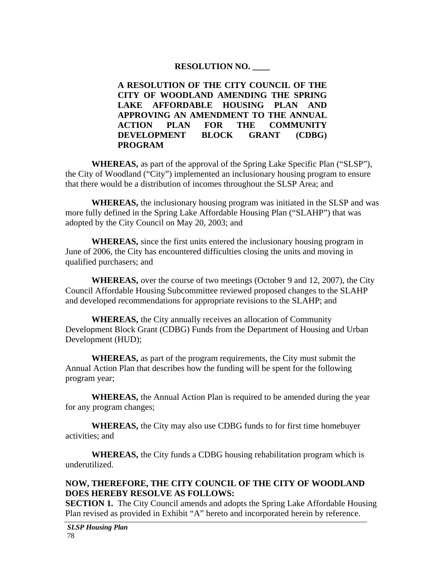## **RESOLUTION NO. \_\_\_\_**

**A RESOLUTION OF THE CITY COUNCIL OF THE CITY OF WOODLAND AMENDING THE SPRING LAKE AFFORDABLE HOUSING PLAN AND APPROVING AN AMENDMENT TO THE ANNUAL ACTION PLAN FOR THE COMMUNITY DEVELOPMENT BLOCK GRANT (CDBG) PROGRAM** 

**WHEREAS,** as part of the approval of the Spring Lake Specific Plan ("SLSP"), the City of Woodland ("City") implemented an inclusionary housing program to ensure that there would be a distribution of incomes throughout the SLSP Area; and

**WHEREAS,** the inclusionary housing program was initiated in the SLSP and was more fully defined in the Spring Lake Affordable Housing Plan ("SLAHP") that was adopted by the City Council on May 20, 2003; and

**WHEREAS,** since the first units entered the inclusionary housing program in June of 2006, the City has encountered difficulties closing the units and moving in qualified purchasers; and

**WHEREAS,** over the course of two meetings (October 9 and 12, 2007), the City Council Affordable Housing Subcommittee reviewed proposed changes to the SLAHP and developed recommendations for appropriate revisions to the SLAHP; and

**WHEREAS,** the City annually receives an allocation of Community Development Block Grant (CDBG) Funds from the Department of Housing and Urban Development (HUD);

**WHEREAS,** as part of the program requirements, the City must submit the Annual Action Plan that describes how the funding will be spent for the following program year;

**WHEREAS,** the Annual Action Plan is required to be amended during the year for any program changes;

**WHEREAS,** the City may also use CDBG funds to for first time homebuyer activities; and

**WHEREAS,** the City funds a CDBG housing rehabilitation program which is underutilized.

## **NOW, THEREFORE, THE CITY COUNCIL OF THE CITY OF WOODLAND DOES HEREBY RESOLVE AS FOLLOWS:**

**SECTION 1.** The City Council amends and adopts the Spring Lake Affordable Housing Plan revised as provided in Exhibit "A" hereto and incorporated herein by reference.